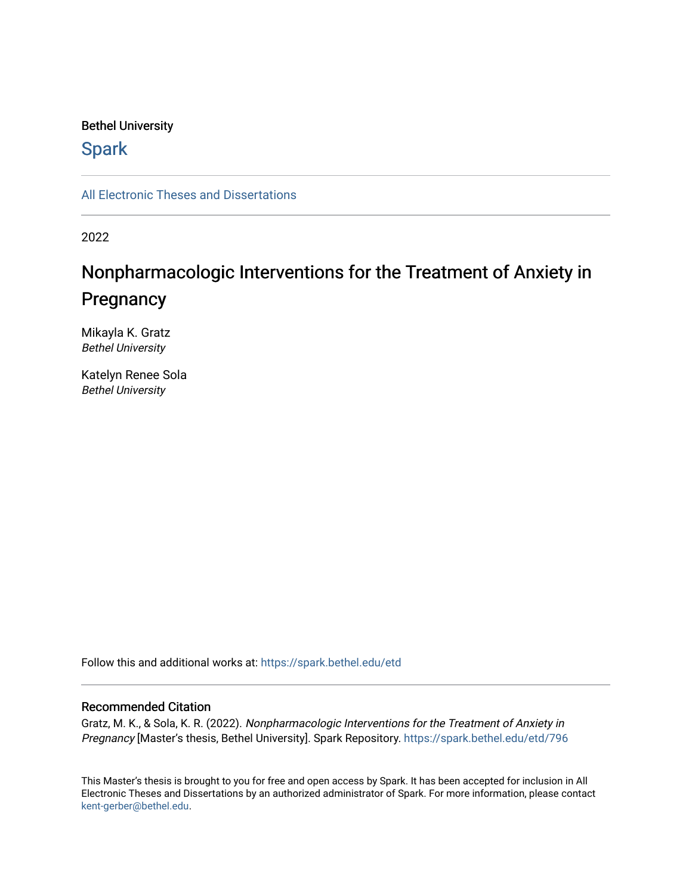#### Bethel University

## **Spark**

[All Electronic Theses and Dissertations](https://spark.bethel.edu/etd) 

2022

# Nonpharmacologic Interventions for the Treatment of Anxiety in **Pregnancy**

Mikayla K. Gratz Bethel University

Katelyn Renee Sola Bethel University

Follow this and additional works at: [https://spark.bethel.edu/etd](https://spark.bethel.edu/etd?utm_source=spark.bethel.edu%2Fetd%2F796&utm_medium=PDF&utm_campaign=PDFCoverPages)

#### Recommended Citation

Gratz, M. K., & Sola, K. R. (2022). Nonpharmacologic Interventions for the Treatment of Anxiety in Pregnancy [Master's thesis, Bethel University]. Spark Repository. [https://spark.bethel.edu/etd/796](https://spark.bethel.edu/etd/796?utm_source=spark.bethel.edu%2Fetd%2F796&utm_medium=PDF&utm_campaign=PDFCoverPages) 

This Master's thesis is brought to you for free and open access by Spark. It has been accepted for inclusion in All Electronic Theses and Dissertations by an authorized administrator of Spark. For more information, please contact [kent-gerber@bethel.edu](mailto:kent-gerber@bethel.edu).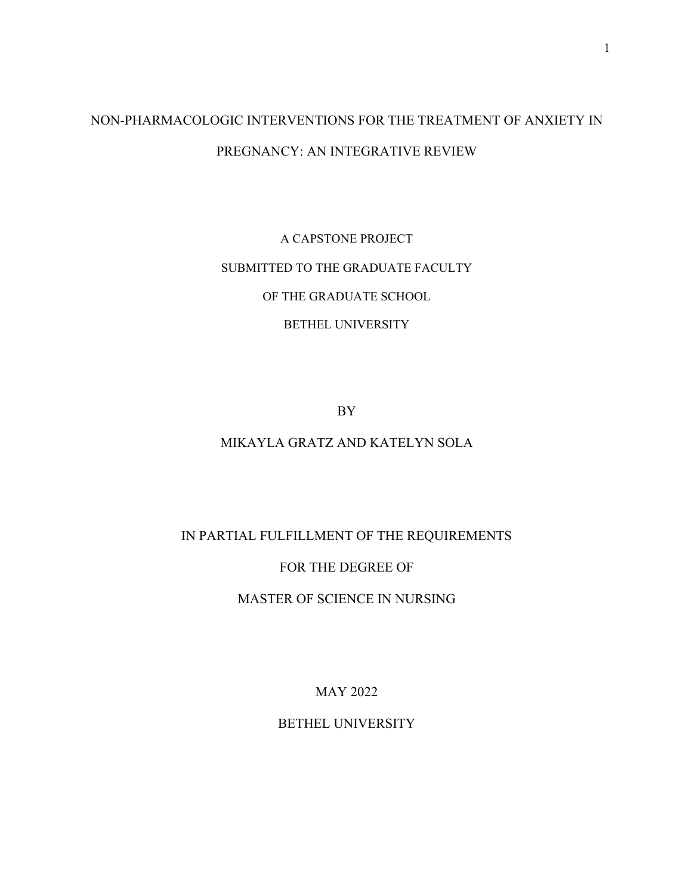# NON-PHARMACOLOGIC INTERVENTIONS FOR THE TREATMENT OF ANXIETY IN PREGNANCY: AN INTEGRATIVE REVIEW

A CAPSTONE PROJECT SUBMITTED TO THE GRADUATE FACULTY OF THE GRADUATE SCHOOL BETHEL UNIVERSITY

BY

## MIKAYLA GRATZ AND KATELYN SOLA

## IN PARTIAL FULFILLMENT OF THE REQUIREMENTS

### FOR THE DEGREE OF

## MASTER OF SCIENCE IN NURSING

MAY 2022

### BETHEL UNIVERSITY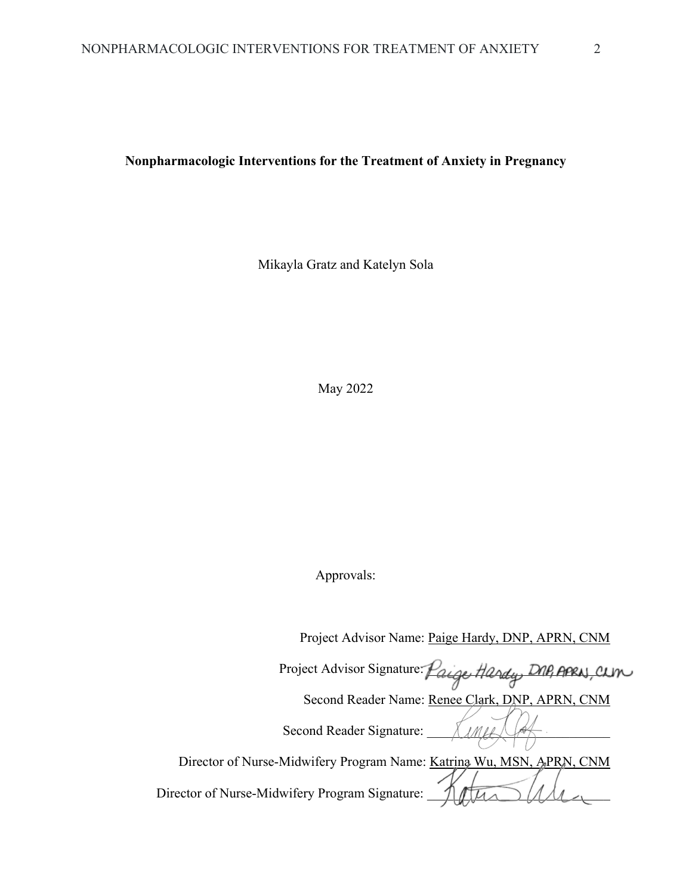**Nonpharmacologic Interventions for the Treatment of Anxiety in Pregnancy** 

Mikayla Gratz and Katelyn Sola

May 2022

Approvals:

Project Advisor Name: Paige Hardy, DNP, APRN, CNM

Project Advisor Signature: Paige Handy, DNP, APRAJ, CLIN

Second Reader Name: Renee Clark, DNP, APRN, CNM

Second Reader Signature: \_\_\_\_\_\_\_\_\_\_\_\_\_\_\_\_\_\_\_\_\_\_\_\_\_\_\_

Director of Nurse-Midwifery Program Name: Katrina Wu, MSN, APRN, CNM Director of Nurse-Midwifery Program Signature: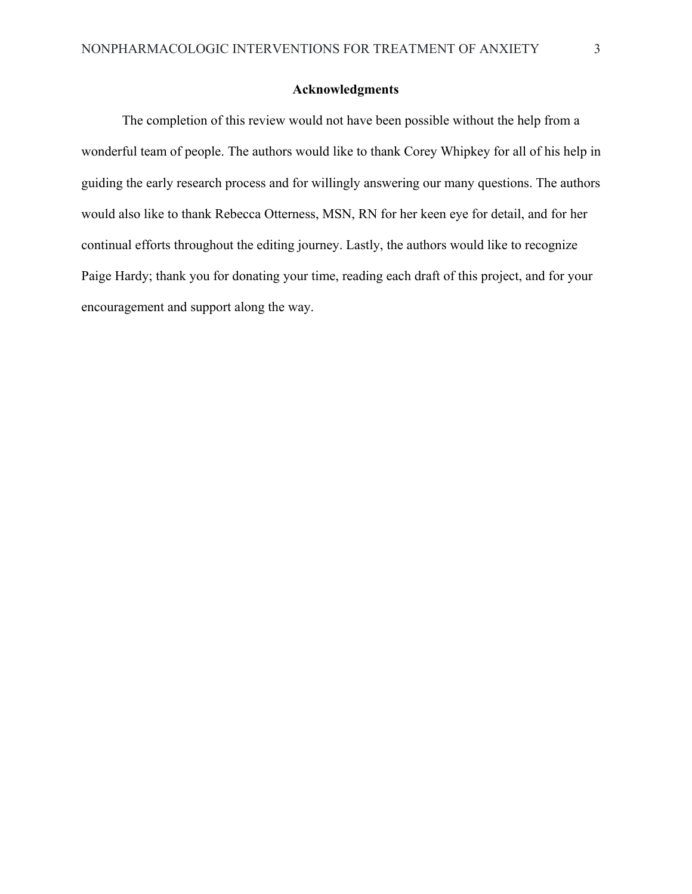#### **Acknowledgments**

 The completion of this review would not have been possible without the help from a wonderful team of people. The authors would like to thank Corey Whipkey for all of his help in guiding the early research process and for willingly answering our many questions. The authors would also like to thank Rebecca Otterness, MSN, RN for her keen eye for detail, and for her continual efforts throughout the editing journey. Lastly, the authors would like to recognize Paige Hardy; thank you for donating your time, reading each draft of this project, and for your encouragement and support along the way.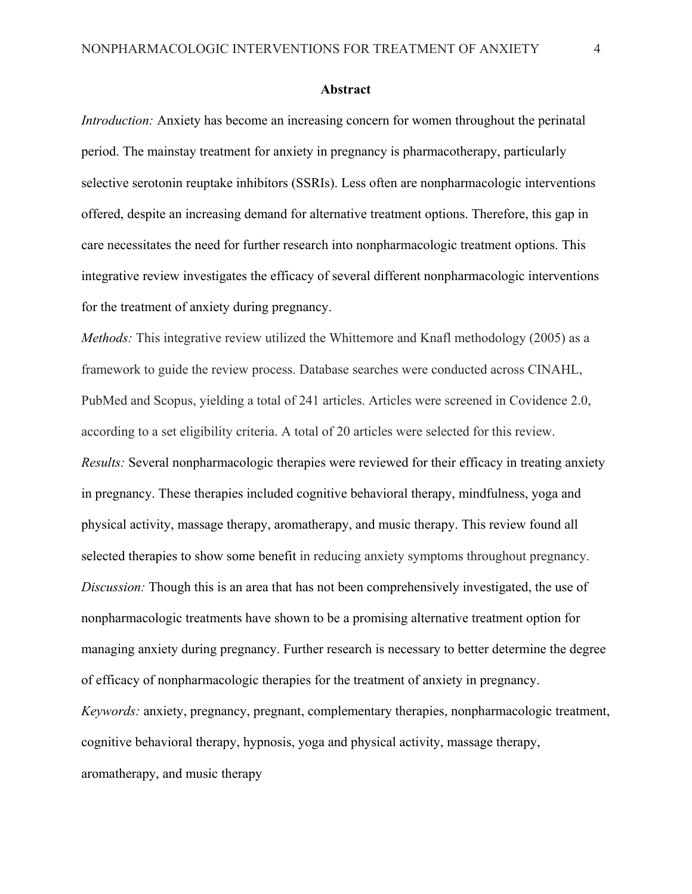#### **Abstract**

*Introduction:* Anxiety has become an increasing concern for women throughout the perinatal period. The mainstay treatment for anxiety in pregnancy is pharmacotherapy, particularly selective serotonin reuptake inhibitors (SSRIs). Less often are nonpharmacologic interventions offered, despite an increasing demand for alternative treatment options. Therefore, this gap in care necessitates the need for further research into nonpharmacologic treatment options. This integrative review investigates the efficacy of several different nonpharmacologic interventions for the treatment of anxiety during pregnancy.

*Methods:* This integrative review utilized the Whittemore and Knafl methodology (2005) as a framework to guide the review process. Database searches were conducted across CINAHL, PubMed and Scopus, yielding a total of 241 articles. Articles were screened in Covidence 2.0, according to a set eligibility criteria. A total of 20 articles were selected for this review. *Results:* Several nonpharmacologic therapies were reviewed for their efficacy in treating anxiety in pregnancy. These therapies included cognitive behavioral therapy, mindfulness, yoga and physical activity, massage therapy, aromatherapy, and music therapy. This review found all selected therapies to show some benefit in reducing anxiety symptoms throughout pregnancy. *Discussion:* Though this is an area that has not been comprehensively investigated, the use of nonpharmacologic treatments have shown to be a promising alternative treatment option for managing anxiety during pregnancy. Further research is necessary to better determine the degree of efficacy of nonpharmacologic therapies for the treatment of anxiety in pregnancy. *Keywords:* anxiety, pregnancy, pregnant, complementary therapies, nonpharmacologic treatment, cognitive behavioral therapy, hypnosis, yoga and physical activity, massage therapy, aromatherapy, and music therapy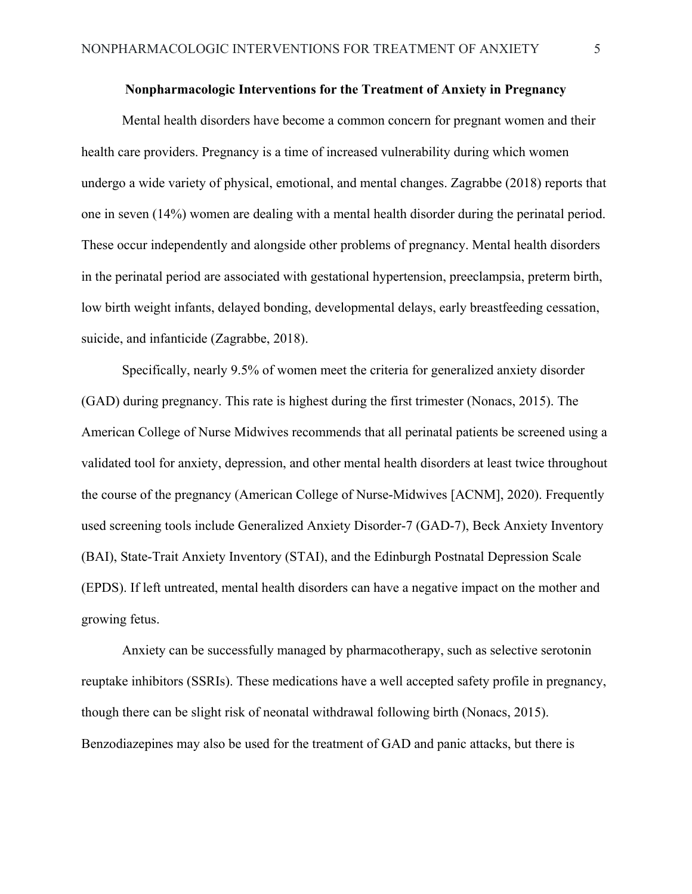#### **Nonpharmacologic Interventions for the Treatment of Anxiety in Pregnancy**

Mental health disorders have become a common concern for pregnant women and their health care providers. Pregnancy is a time of increased vulnerability during which women undergo a wide variety of physical, emotional, and mental changes. Zagrabbe (2018) reports that one in seven (14%) women are dealing with a mental health disorder during the perinatal period. These occur independently and alongside other problems of pregnancy. Mental health disorders in the perinatal period are associated with gestational hypertension, preeclampsia, preterm birth, low birth weight infants, delayed bonding, developmental delays, early breastfeeding cessation, suicide, and infanticide (Zagrabbe, 2018).

Specifically, nearly 9.5% of women meet the criteria for generalized anxiety disorder (GAD) during pregnancy. This rate is highest during the first trimester (Nonacs, 2015). The American College of Nurse Midwives recommends that all perinatal patients be screened using a validated tool for anxiety, depression, and other mental health disorders at least twice throughout the course of the pregnancy (American College of Nurse-Midwives [ACNM], 2020). Frequently used screening tools include Generalized Anxiety Disorder-7 (GAD-7), Beck Anxiety Inventory (BAI), State-Trait Anxiety Inventory (STAI), and the Edinburgh Postnatal Depression Scale (EPDS). If left untreated, mental health disorders can have a negative impact on the mother and growing fetus.

Anxiety can be successfully managed by pharmacotherapy, such as selective serotonin reuptake inhibitors (SSRIs). These medications have a well accepted safety profile in pregnancy, though there can be slight risk of neonatal withdrawal following birth (Nonacs, 2015). Benzodiazepines may also be used for the treatment of GAD and panic attacks, but there is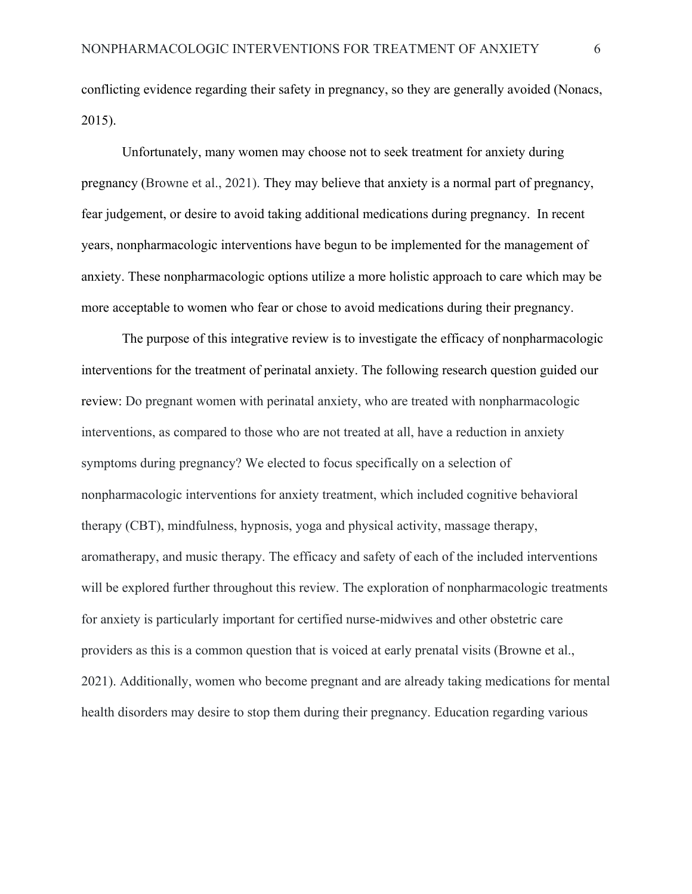conflicting evidence regarding their safety in pregnancy, so they are generally avoided (Nonacs, 2015).

Unfortunately, many women may choose not to seek treatment for anxiety during pregnancy (Browne et al., 2021). They may believe that anxiety is a normal part of pregnancy, fear judgement, or desire to avoid taking additional medications during pregnancy. In recent years, nonpharmacologic interventions have begun to be implemented for the management of anxiety. These nonpharmacologic options utilize a more holistic approach to care which may be more acceptable to women who fear or chose to avoid medications during their pregnancy.

The purpose of this integrative review is to investigate the efficacy of nonpharmacologic interventions for the treatment of perinatal anxiety. The following research question guided our review: Do pregnant women with perinatal anxiety, who are treated with nonpharmacologic interventions, as compared to those who are not treated at all, have a reduction in anxiety symptoms during pregnancy? We elected to focus specifically on a selection of nonpharmacologic interventions for anxiety treatment, which included cognitive behavioral therapy (CBT), mindfulness, hypnosis, yoga and physical activity, massage therapy, aromatherapy, and music therapy. The efficacy and safety of each of the included interventions will be explored further throughout this review. The exploration of nonpharmacologic treatments for anxiety is particularly important for certified nurse-midwives and other obstetric care providers as this is a common question that is voiced at early prenatal visits (Browne et al., 2021). Additionally, women who become pregnant and are already taking medications for mental health disorders may desire to stop them during their pregnancy. Education regarding various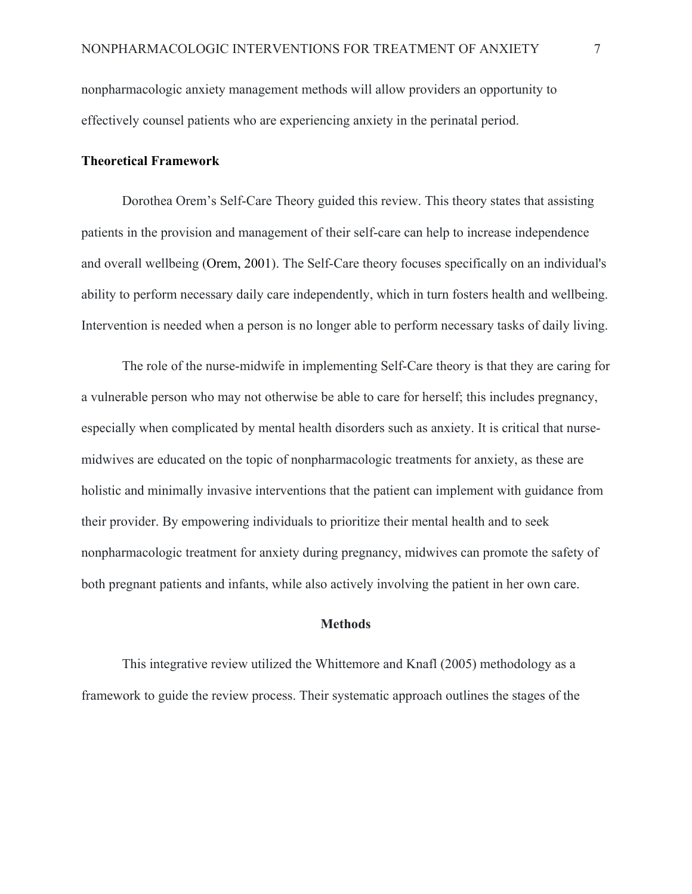nonpharmacologic anxiety management methods will allow providers an opportunity to effectively counsel patients who are experiencing anxiety in the perinatal period.

#### **Theoretical Framework**

Dorothea Orem's Self-Care Theory guided this review. This theory states that assisting patients in the provision and management of their self-care can help to increase independence and overall wellbeing (Orem, 2001). The Self-Care theory focuses specifically on an individual's ability to perform necessary daily care independently, which in turn fosters health and wellbeing. Intervention is needed when a person is no longer able to perform necessary tasks of daily living.

The role of the nurse-midwife in implementing Self-Care theory is that they are caring for a vulnerable person who may not otherwise be able to care for herself; this includes pregnancy, especially when complicated by mental health disorders such as anxiety. It is critical that nursemidwives are educated on the topic of nonpharmacologic treatments for anxiety, as these are holistic and minimally invasive interventions that the patient can implement with guidance from their provider. By empowering individuals to prioritize their mental health and to seek nonpharmacologic treatment for anxiety during pregnancy, midwives can promote the safety of both pregnant patients and infants, while also actively involving the patient in her own care.

#### **Methods**

This integrative review utilized the Whittemore and Knafl (2005) methodology as a framework to guide the review process. Their systematic approach outlines the stages of the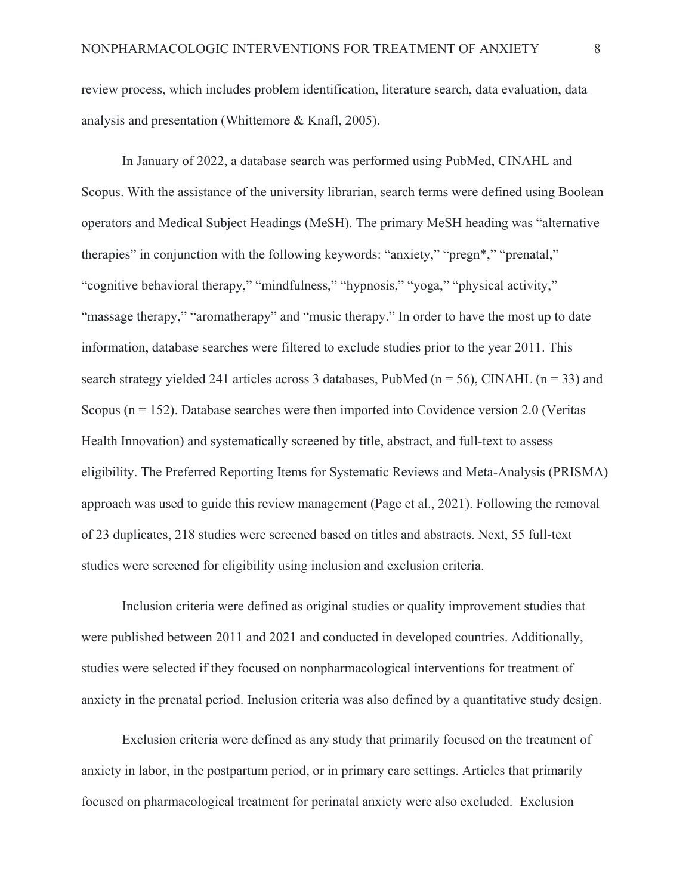review process, which includes problem identification, literature search, data evaluation, data analysis and presentation (Whittemore & Knafl, 2005).

In January of 2022, a database search was performed using PubMed, CINAHL and Scopus. With the assistance of the university librarian, search terms were defined using Boolean operators and Medical Subject Headings (MeSH). The primary MeSH heading was "alternative therapies" in conjunction with the following keywords: "anxiety," "pregn\*," "prenatal," "cognitive behavioral therapy," "mindfulness," "hypnosis," "yoga," "physical activity," "massage therapy," "aromatherapy" and "music therapy." In order to have the most up to date information, database searches were filtered to exclude studies prior to the year 2011. This search strategy yielded 241 articles across 3 databases, PubMed ( $n = 56$ ), CINAHL ( $n = 33$ ) and Scopus ( $n = 152$ ). Database searches were then imported into Covidence version 2.0 (Veritas Health Innovation) and systematically screened by title, abstract, and full-text to assess eligibility. The Preferred Reporting Items for Systematic Reviews and Meta-Analysis (PRISMA) approach was used to guide this review management (Page et al., 2021). Following the removal of 23 duplicates, 218 studies were screened based on titles and abstracts. Next, 55 full-text studies were screened for eligibility using inclusion and exclusion criteria.

Inclusion criteria were defined as original studies or quality improvement studies that were published between 2011 and 2021 and conducted in developed countries. Additionally, studies were selected if they focused on nonpharmacological interventions for treatment of anxiety in the prenatal period. Inclusion criteria was also defined by a quantitative study design.

Exclusion criteria were defined as any study that primarily focused on the treatment of anxiety in labor, in the postpartum period, or in primary care settings. Articles that primarily focused on pharmacological treatment for perinatal anxiety were also excluded. Exclusion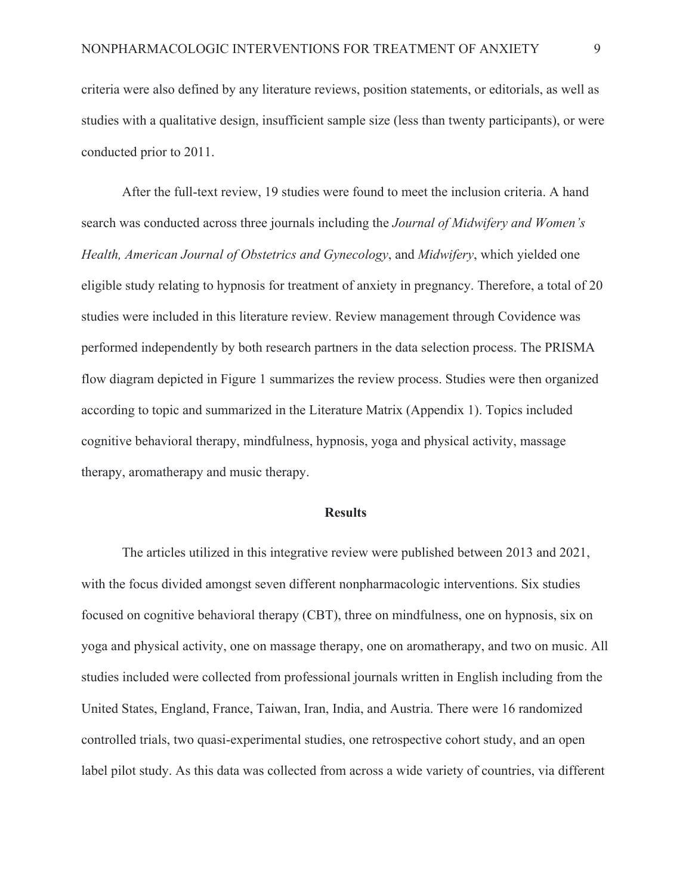criteria were also defined by any literature reviews, position statements, or editorials, as well as studies with a qualitative design, insufficient sample size (less than twenty participants), or were conducted prior to 2011.

After the full-text review, 19 studies were found to meet the inclusion criteria. A hand search was conducted across three journals including the *Journal of Midwifery and Women's Health, American Journal of Obstetrics and Gynecology*, and *Midwifery*, which yielded one eligible study relating to hypnosis for treatment of anxiety in pregnancy. Therefore, a total of 20 studies were included in this literature review. Review management through Covidence was performed independently by both research partners in the data selection process. The PRISMA flow diagram depicted in Figure 1 summarizes the review process. Studies were then organized according to topic and summarized in the Literature Matrix (Appendix 1). Topics included cognitive behavioral therapy, mindfulness, hypnosis, yoga and physical activity, massage therapy, aromatherapy and music therapy.

#### **Results**

The articles utilized in this integrative review were published between 2013 and 2021, with the focus divided amongst seven different nonpharmacologic interventions. Six studies focused on cognitive behavioral therapy (CBT), three on mindfulness, one on hypnosis, six on yoga and physical activity, one on massage therapy, one on aromatherapy, and two on music. All studies included were collected from professional journals written in English including from the United States, England, France, Taiwan, Iran, India, and Austria. There were 16 randomized controlled trials, two quasi-experimental studies, one retrospective cohort study, and an open label pilot study. As this data was collected from across a wide variety of countries, via different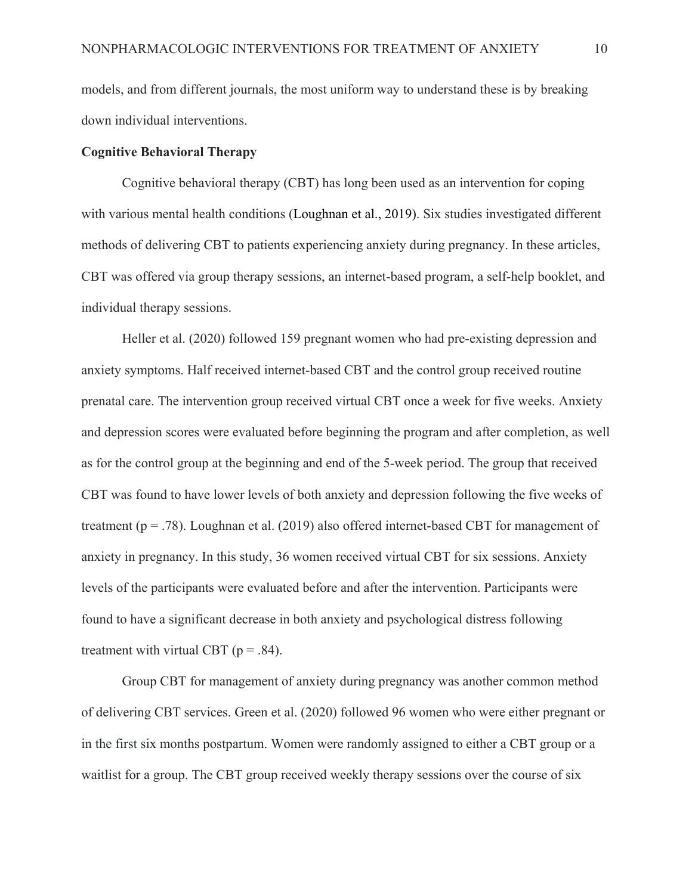models, and from different journals, the most uniform way to understand these is by breaking down individual interventions.

#### **Cognitive Behavioral Therapy**

 Cognitive behavioral therapy (CBT) has long been used as an intervention for coping with various mental health conditions (Loughnan et al., 2019). Six studies investigated different methods of delivering CBT to patients experiencing anxiety during pregnancy. In these articles, CBT was offered via group therapy sessions, an internet-based program, a self-help booklet, and individual therapy sessions.

Heller et al. (2020) followed 159 pregnant women who had pre-existing depression and anxiety symptoms. Half received internet-based CBT and the control group received routine prenatal care. The intervention group received virtual CBT once a week for five weeks. Anxiety and depression scores were evaluated before beginning the program and after completion, as well as for the control group at the beginning and end of the 5-week period. The group that received CBT was found to have lower levels of both anxiety and depression following the five weeks of treatment (p = .78). Loughnan et al. (2019) also offered internet-based CBT for management of anxiety in pregnancy. In this study, 36 women received virtual CBT for six sessions. Anxiety levels of the participants were evaluated before and after the intervention. Participants were found to have a significant decrease in both anxiety and psychological distress following treatment with virtual CBT ( $p = .84$ ).

 Group CBT for management of anxiety during pregnancy was another common method of delivering CBT services. Green et al. (2020) followed 96 women who were either pregnant or in the first six months postpartum. Women were randomly assigned to either a CBT group or a waitlist for a group. The CBT group received weekly therapy sessions over the course of six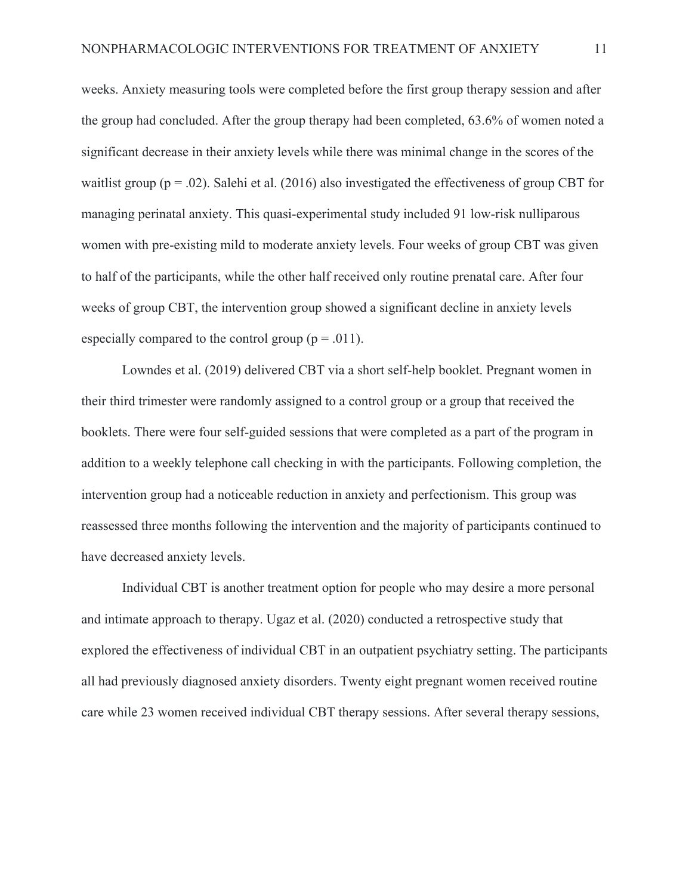weeks. Anxiety measuring tools were completed before the first group therapy session and after the group had concluded. After the group therapy had been completed, 63.6% of women noted a significant decrease in their anxiety levels while there was minimal change in the scores of the waitlist group ( $p = .02$ ). Salehi et al. (2016) also investigated the effectiveness of group CBT for managing perinatal anxiety. This quasi-experimental study included 91 low-risk nulliparous women with pre-existing mild to moderate anxiety levels. Four weeks of group CBT was given to half of the participants, while the other half received only routine prenatal care. After four weeks of group CBT, the intervention group showed a significant decline in anxiety levels especially compared to the control group ( $p = .011$ ).

 Lowndes et al. (2019) delivered CBT via a short self-help booklet. Pregnant women in their third trimester were randomly assigned to a control group or a group that received the booklets. There were four self-guided sessions that were completed as a part of the program in addition to a weekly telephone call checking in with the participants. Following completion, the intervention group had a noticeable reduction in anxiety and perfectionism. This group was reassessed three months following the intervention and the majority of participants continued to have decreased anxiety levels.

 Individual CBT is another treatment option for people who may desire a more personal and intimate approach to therapy. Ugaz et al. (2020) conducted a retrospective study that explored the effectiveness of individual CBT in an outpatient psychiatry setting. The participants all had previously diagnosed anxiety disorders. Twenty eight pregnant women received routine care while 23 women received individual CBT therapy sessions. After several therapy sessions,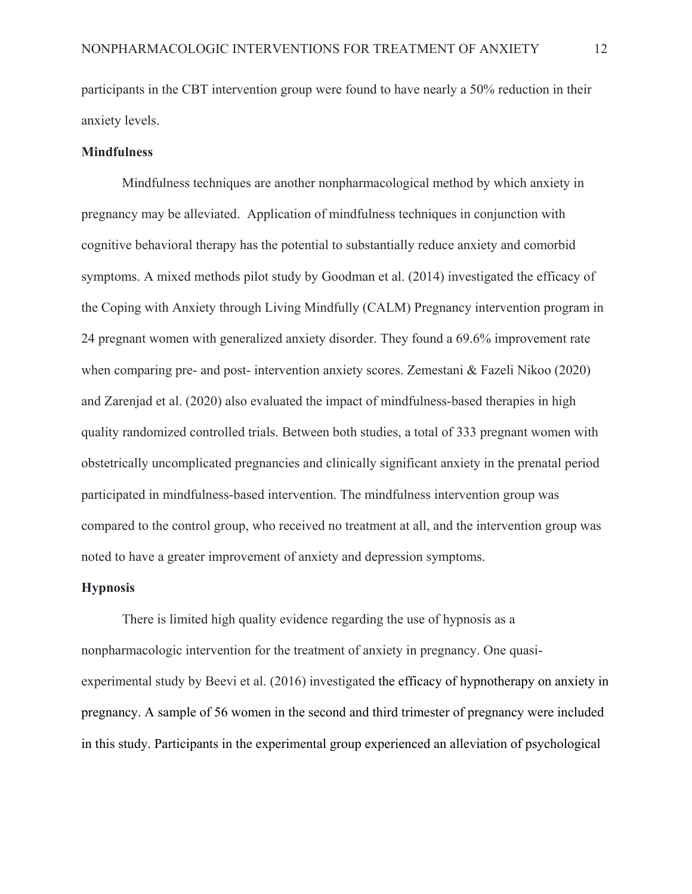participants in the CBT intervention group were found to have nearly a 50% reduction in their anxiety levels.

#### **Mindfulness**

Mindfulness techniques are another nonpharmacological method by which anxiety in pregnancy may be alleviated. Application of mindfulness techniques in conjunction with cognitive behavioral therapy has the potential to substantially reduce anxiety and comorbid symptoms. A mixed methods pilot study by Goodman et al. (2014) investigated the efficacy of the Coping with Anxiety through Living Mindfully (CALM) Pregnancy intervention program in 24 pregnant women with generalized anxiety disorder. They found a 69.6% improvement rate when comparing pre- and post- intervention anxiety scores. Zemestani & Fazeli Nikoo (2020) and Zarenjad et al. (2020) also evaluated the impact of mindfulness-based therapies in high quality randomized controlled trials. Between both studies, a total of 333 pregnant women with obstetrically uncomplicated pregnancies and clinically significant anxiety in the prenatal period participated in mindfulness-based intervention. The mindfulness intervention group was compared to the control group, who received no treatment at all, and the intervention group was noted to have a greater improvement of anxiety and depression symptoms.

#### **Hypnosis**

There is limited high quality evidence regarding the use of hypnosis as a nonpharmacologic intervention for the treatment of anxiety in pregnancy. One quasiexperimental study by Beevi et al. (2016) investigated the efficacy of hypnotherapy on anxiety in pregnancy. A sample of 56 women in the second and third trimester of pregnancy were included in this study. Participants in the experimental group experienced an alleviation of psychological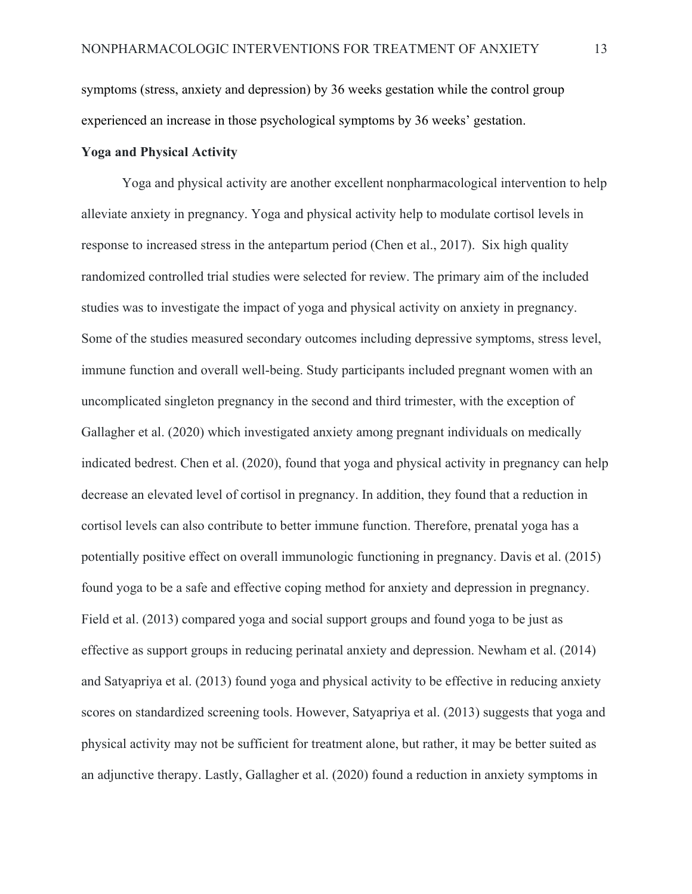symptoms (stress, anxiety and depression) by 36 weeks gestation while the control group experienced an increase in those psychological symptoms by 36 weeks' gestation.

#### **Yoga and Physical Activity**

Yoga and physical activity are another excellent nonpharmacological intervention to help alleviate anxiety in pregnancy. Yoga and physical activity help to modulate cortisol levels in response to increased stress in the antepartum period (Chen et al., 2017). Six high quality randomized controlled trial studies were selected for review. The primary aim of the included studies was to investigate the impact of yoga and physical activity on anxiety in pregnancy. Some of the studies measured secondary outcomes including depressive symptoms, stress level, immune function and overall well-being. Study participants included pregnant women with an uncomplicated singleton pregnancy in the second and third trimester, with the exception of Gallagher et al. (2020) which investigated anxiety among pregnant individuals on medically indicated bedrest. Chen et al. (2020), found that yoga and physical activity in pregnancy can help decrease an elevated level of cortisol in pregnancy. In addition, they found that a reduction in cortisol levels can also contribute to better immune function. Therefore, prenatal yoga has a potentially positive effect on overall immunologic functioning in pregnancy. Davis et al. (2015) found yoga to be a safe and effective coping method for anxiety and depression in pregnancy. Field et al. (2013) compared yoga and social support groups and found yoga to be just as effective as support groups in reducing perinatal anxiety and depression. Newham et al. (2014) and Satyapriya et al. (2013) found yoga and physical activity to be effective in reducing anxiety scores on standardized screening tools. However, Satyapriya et al. (2013) suggests that yoga and physical activity may not be sufficient for treatment alone, but rather, it may be better suited as an adjunctive therapy. Lastly, Gallagher et al. (2020) found a reduction in anxiety symptoms in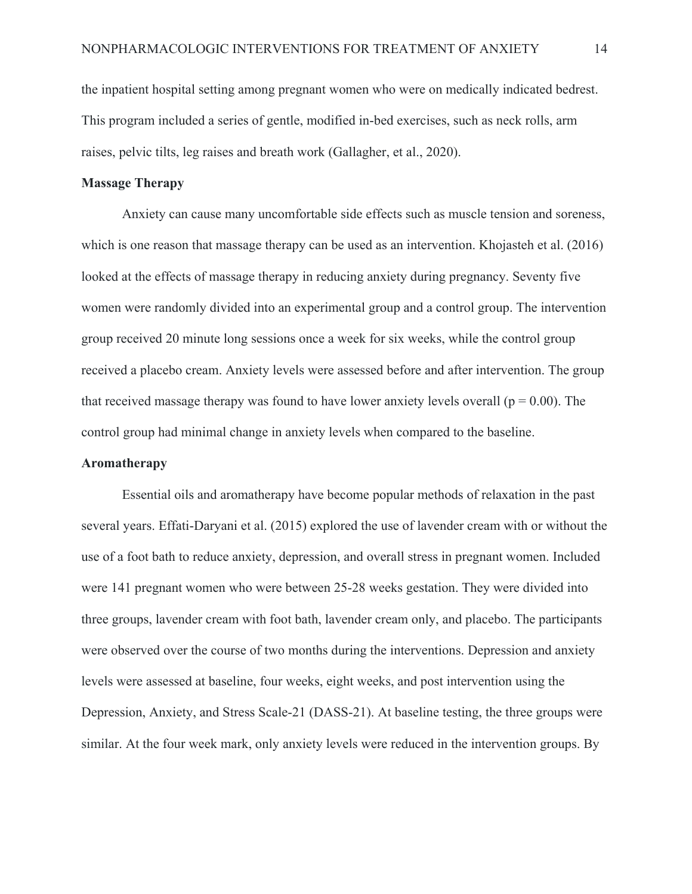the inpatient hospital setting among pregnant women who were on medically indicated bedrest. This program included a series of gentle, modified in-bed exercises, such as neck rolls, arm raises, pelvic tilts, leg raises and breath work (Gallagher, et al., 2020).

#### **Massage Therapy**

 Anxiety can cause many uncomfortable side effects such as muscle tension and soreness, which is one reason that massage therapy can be used as an intervention. Khojasteh et al. (2016) looked at the effects of massage therapy in reducing anxiety during pregnancy. Seventy five women were randomly divided into an experimental group and a control group. The intervention group received 20 minute long sessions once a week for six weeks, while the control group received a placebo cream. Anxiety levels were assessed before and after intervention. The group that received massage therapy was found to have lower anxiety levels overall ( $p = 0.00$ ). The control group had minimal change in anxiety levels when compared to the baseline.

#### **Aromatherapy**

Essential oils and aromatherapy have become popular methods of relaxation in the past several years. Effati-Daryani et al. (2015) explored the use of lavender cream with or without the use of a foot bath to reduce anxiety, depression, and overall stress in pregnant women. Included were 141 pregnant women who were between 25-28 weeks gestation. They were divided into three groups, lavender cream with foot bath, lavender cream only, and placebo. The participants were observed over the course of two months during the interventions. Depression and anxiety levels were assessed at baseline, four weeks, eight weeks, and post intervention using the Depression, Anxiety, and Stress Scale-21 (DASS-21). At baseline testing, the three groups were similar. At the four week mark, only anxiety levels were reduced in the intervention groups. By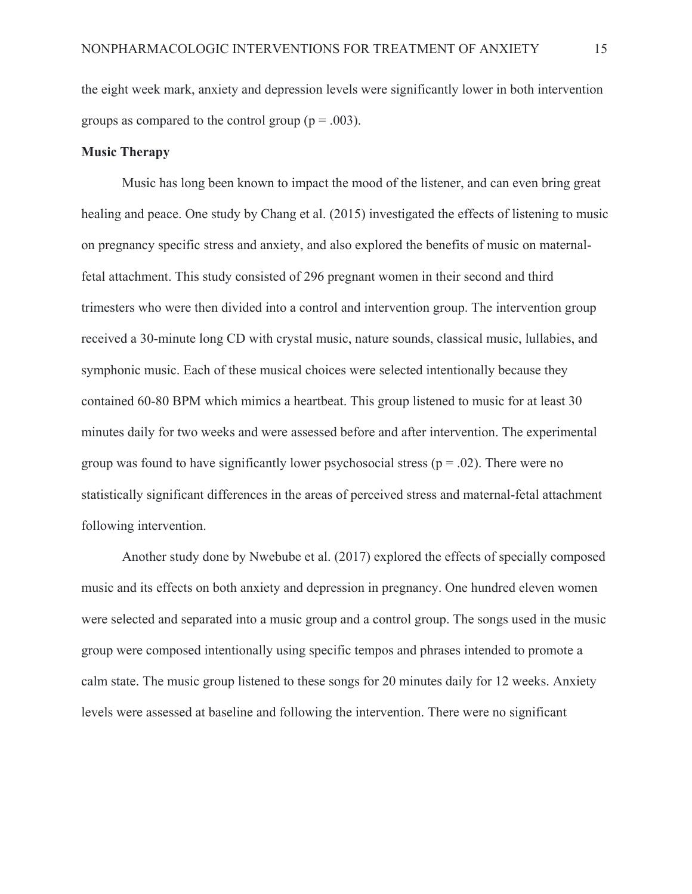the eight week mark, anxiety and depression levels were significantly lower in both intervention groups as compared to the control group ( $p = .003$ ).

#### **Music Therapy**

 Music has long been known to impact the mood of the listener, and can even bring great healing and peace. One study by Chang et al. (2015) investigated the effects of listening to music on pregnancy specific stress and anxiety, and also explored the benefits of music on maternalfetal attachment. This study consisted of 296 pregnant women in their second and third trimesters who were then divided into a control and intervention group. The intervention group received a 30-minute long CD with crystal music, nature sounds, classical music, lullabies, and symphonic music. Each of these musical choices were selected intentionally because they contained 60-80 BPM which mimics a heartbeat. This group listened to music for at least 30 minutes daily for two weeks and were assessed before and after intervention. The experimental group was found to have significantly lower psychosocial stress ( $p = .02$ ). There were no statistically significant differences in the areas of perceived stress and maternal-fetal attachment following intervention.

 Another study done by Nwebube et al. (2017) explored the effects of specially composed music and its effects on both anxiety and depression in pregnancy. One hundred eleven women were selected and separated into a music group and a control group. The songs used in the music group were composed intentionally using specific tempos and phrases intended to promote a calm state. The music group listened to these songs for 20 minutes daily for 12 weeks. Anxiety levels were assessed at baseline and following the intervention. There were no significant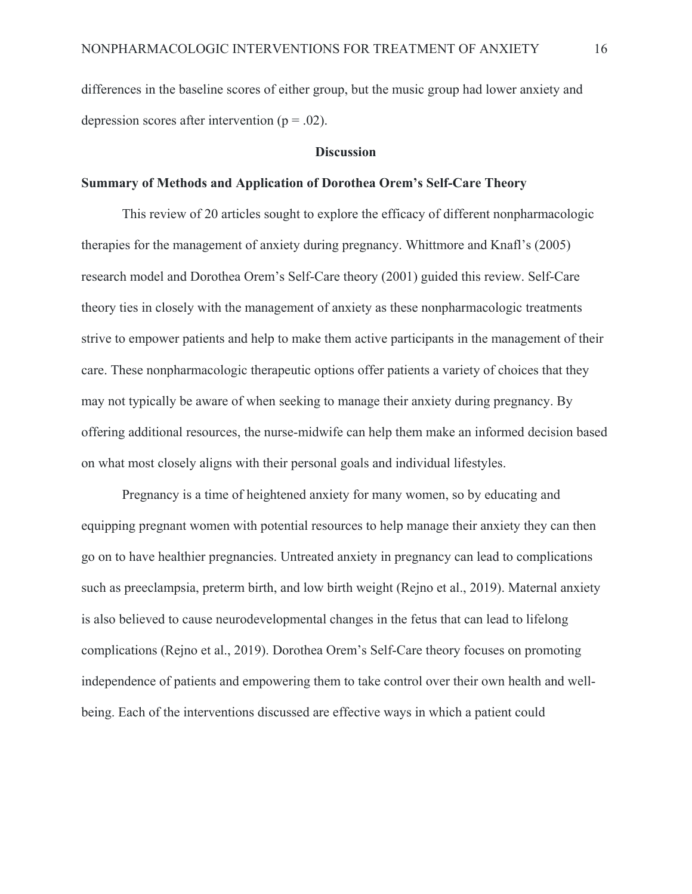differences in the baseline scores of either group, but the music group had lower anxiety and depression scores after intervention ( $p = .02$ ).

#### **Discussion**

#### **Summary of Methods and Application of Dorothea Orem's Self-Care Theory**

This review of 20 articles sought to explore the efficacy of different nonpharmacologic therapies for the management of anxiety during pregnancy. Whittmore and Knafl's (2005) research model and Dorothea Orem's Self-Care theory (2001) guided this review. Self-Care theory ties in closely with the management of anxiety as these nonpharmacologic treatments strive to empower patients and help to make them active participants in the management of their care. These nonpharmacologic therapeutic options offer patients a variety of choices that they may not typically be aware of when seeking to manage their anxiety during pregnancy. By offering additional resources, the nurse-midwife can help them make an informed decision based on what most closely aligns with their personal goals and individual lifestyles.

Pregnancy is a time of heightened anxiety for many women, so by educating and equipping pregnant women with potential resources to help manage their anxiety they can then go on to have healthier pregnancies. Untreated anxiety in pregnancy can lead to complications such as preeclampsia, preterm birth, and low birth weight (Rejno et al., 2019). Maternal anxiety is also believed to cause neurodevelopmental changes in the fetus that can lead to lifelong complications (Rejno et al., 2019). Dorothea Orem's Self-Care theory focuses on promoting independence of patients and empowering them to take control over their own health and wellbeing. Each of the interventions discussed are effective ways in which a patient could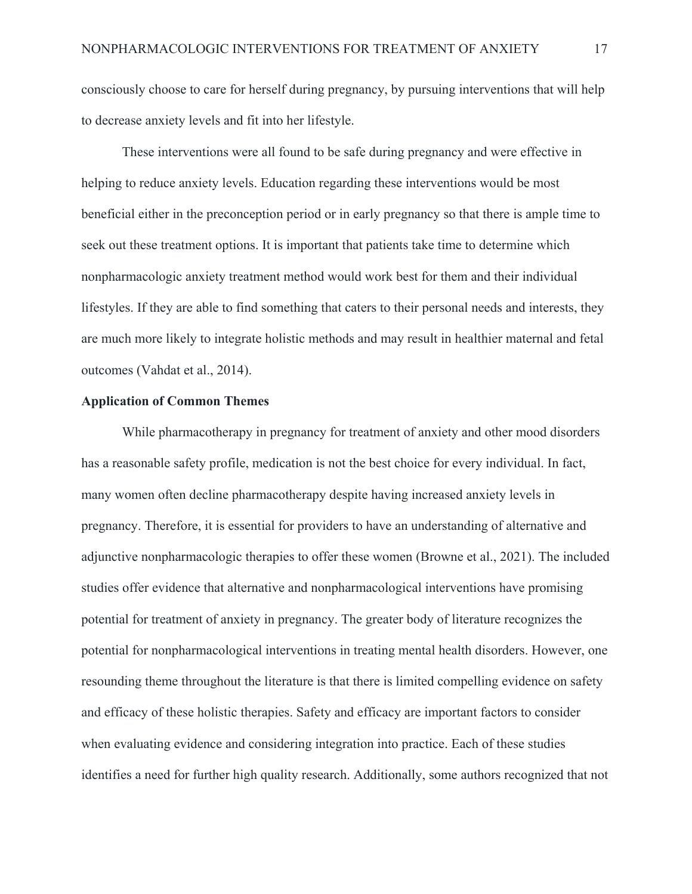consciously choose to care for herself during pregnancy, by pursuing interventions that will help to decrease anxiety levels and fit into her lifestyle.

These interventions were all found to be safe during pregnancy and were effective in helping to reduce anxiety levels. Education regarding these interventions would be most beneficial either in the preconception period or in early pregnancy so that there is ample time to seek out these treatment options. It is important that patients take time to determine which nonpharmacologic anxiety treatment method would work best for them and their individual lifestyles. If they are able to find something that caters to their personal needs and interests, they are much more likely to integrate holistic methods and may result in healthier maternal and fetal outcomes (Vahdat et al., 2014).

#### **Application of Common Themes**

While pharmacotherapy in pregnancy for treatment of anxiety and other mood disorders has a reasonable safety profile, medication is not the best choice for every individual. In fact, many women often decline pharmacotherapy despite having increased anxiety levels in pregnancy. Therefore, it is essential for providers to have an understanding of alternative and adjunctive nonpharmacologic therapies to offer these women (Browne et al., 2021). The included studies offer evidence that alternative and nonpharmacological interventions have promising potential for treatment of anxiety in pregnancy. The greater body of literature recognizes the potential for nonpharmacological interventions in treating mental health disorders. However, one resounding theme throughout the literature is that there is limited compelling evidence on safety and efficacy of these holistic therapies. Safety and efficacy are important factors to consider when evaluating evidence and considering integration into practice. Each of these studies identifies a need for further high quality research. Additionally, some authors recognized that not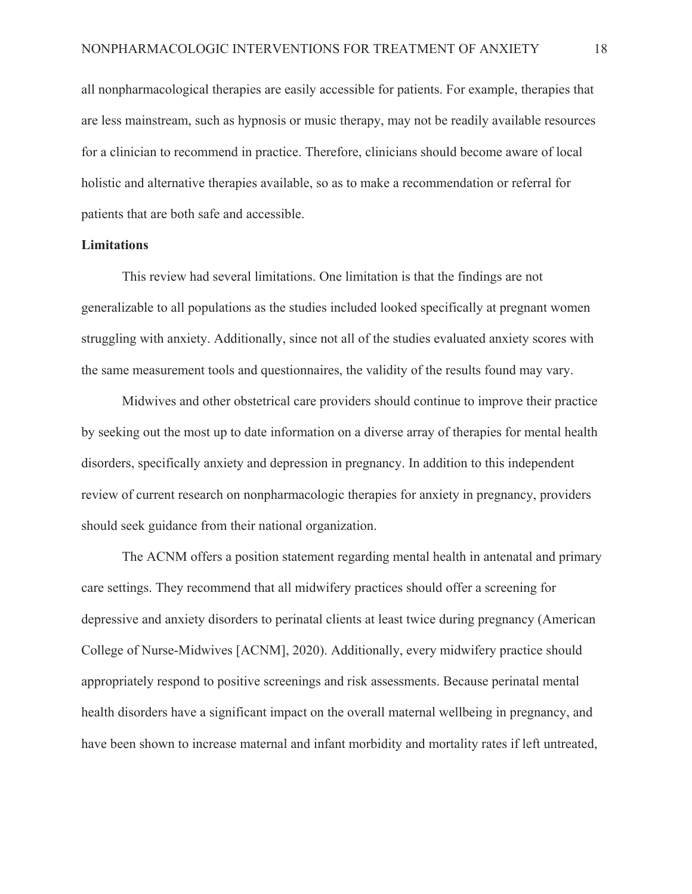all nonpharmacological therapies are easily accessible for patients. For example, therapies that are less mainstream, such as hypnosis or music therapy, may not be readily available resources for a clinician to recommend in practice. Therefore, clinicians should become aware of local holistic and alternative therapies available, so as to make a recommendation or referral for patients that are both safe and accessible.

#### **Limitations**

This review had several limitations. One limitation is that the findings are not generalizable to all populations as the studies included looked specifically at pregnant women struggling with anxiety. Additionally, since not all of the studies evaluated anxiety scores with the same measurement tools and questionnaires, the validity of the results found may vary.

Midwives and other obstetrical care providers should continue to improve their practice by seeking out the most up to date information on a diverse array of therapies for mental health disorders, specifically anxiety and depression in pregnancy. In addition to this independent review of current research on nonpharmacologic therapies for anxiety in pregnancy, providers should seek guidance from their national organization.

The ACNM offers a position statement regarding mental health in antenatal and primary care settings. They recommend that all midwifery practices should offer a screening for depressive and anxiety disorders to perinatal clients at least twice during pregnancy (American College of Nurse-Midwives [ACNM], 2020). Additionally, every midwifery practice should appropriately respond to positive screenings and risk assessments. Because perinatal mental health disorders have a significant impact on the overall maternal wellbeing in pregnancy, and have been shown to increase maternal and infant morbidity and mortality rates if left untreated,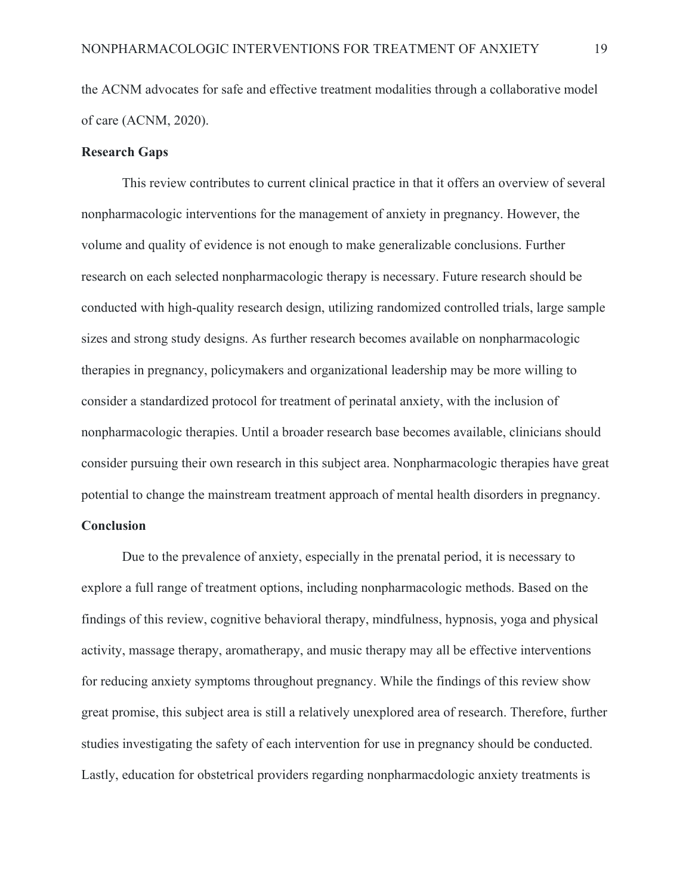the ACNM advocates for safe and effective treatment modalities through a collaborative model of care (ACNM, 2020).

#### **Research Gaps**

This review contributes to current clinical practice in that it offers an overview of several nonpharmacologic interventions for the management of anxiety in pregnancy. However, the volume and quality of evidence is not enough to make generalizable conclusions. Further research on each selected nonpharmacologic therapy is necessary. Future research should be conducted with high-quality research design, utilizing randomized controlled trials, large sample sizes and strong study designs. As further research becomes available on nonpharmacologic therapies in pregnancy, policymakers and organizational leadership may be more willing to consider a standardized protocol for treatment of perinatal anxiety, with the inclusion of nonpharmacologic therapies. Until a broader research base becomes available, clinicians should consider pursuing their own research in this subject area. Nonpharmacologic therapies have great potential to change the mainstream treatment approach of mental health disorders in pregnancy.

#### **Conclusion**

 Due to the prevalence of anxiety, especially in the prenatal period, it is necessary to explore a full range of treatment options, including nonpharmacologic methods. Based on the findings of this review, cognitive behavioral therapy, mindfulness, hypnosis, yoga and physical activity, massage therapy, aromatherapy, and music therapy may all be effective interventions for reducing anxiety symptoms throughout pregnancy. While the findings of this review show great promise, this subject area is still a relatively unexplored area of research. Therefore, further studies investigating the safety of each intervention for use in pregnancy should be conducted. Lastly, education for obstetrical providers regarding nonpharmacdologic anxiety treatments is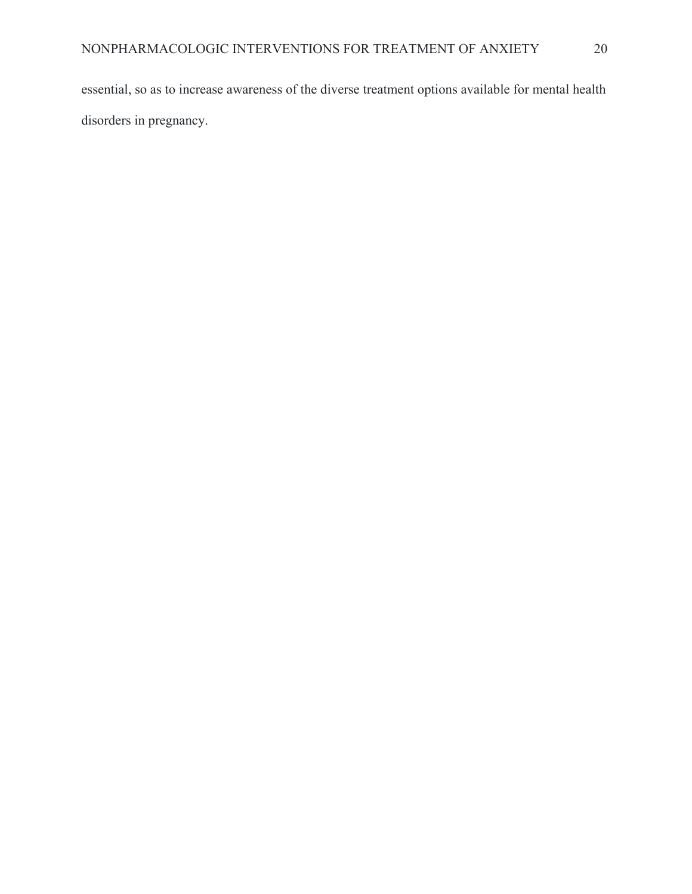essential, so as to increase awareness of the diverse treatment options available for mental health disorders in pregnancy.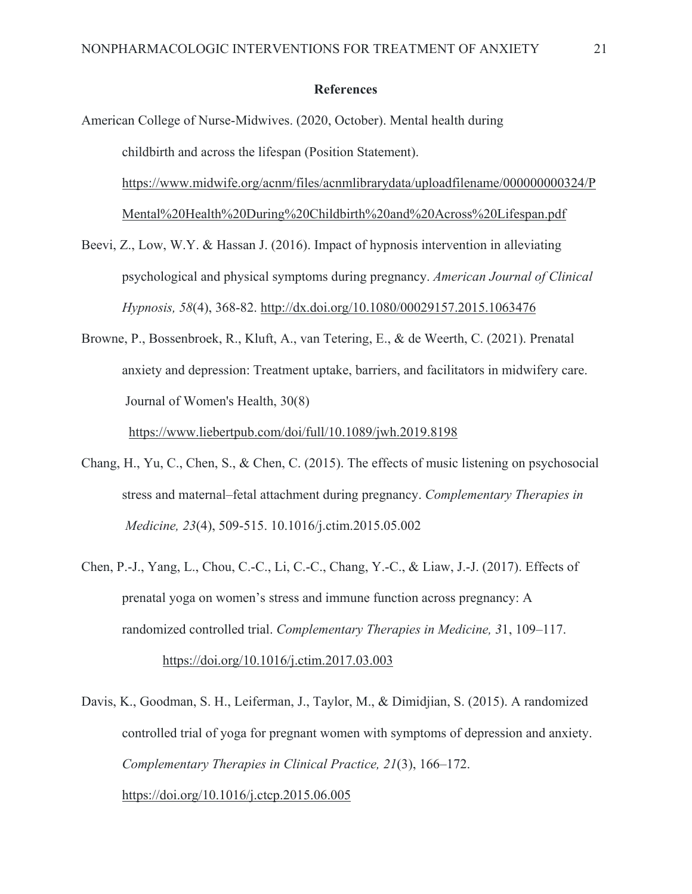#### **References**

American College of Nurse-Midwives. (2020, October). Mental health during childbirth and across the lifespan (Position Statement). https://www.midwife.org/acnm/files/acnmlibrarydata/uploadfilename/000000000324/P Mental%20Health%20During%20Childbirth%20and%20Across%20Lifespan.pdf

- Beevi, Z., Low, W.Y. & Hassan J. (2016). Impact of hypnosis intervention in alleviating psychological and physical symptoms during pregnancy. *American Journal of Clinical Hypnosis, 58*(4), 368-82. http://dx.doi.org/10.1080/00029157.2015.1063476
- Browne, P., Bossenbroek, R., Kluft, A., van Tetering, E., & de Weerth, C. (2021). Prenatal anxiety and depression: Treatment uptake, barriers, and facilitators in midwifery care. Journal of Women's Health, 30(8)

https://www.liebertpub.com/doi/full/10.1089/jwh.2019.8198

- Chang, H., Yu, C., Chen, S., & Chen, C. (2015). The effects of music listening on psychosocial stress and maternal–fetal attachment during pregnancy. *Complementary Therapies in Medicine, 23*(4), 509-515. 10.1016/j.ctim.2015.05.002
- Chen, P.-J., Yang, L., Chou, C.-C., Li, C.-C., Chang, Y.-C., & Liaw, J.-J. (2017). Effects of prenatal yoga on women's stress and immune function across pregnancy: A randomized controlled trial. *Complementary Therapies in Medicine, 3*1, 109–117. https://doi.org/10.1016/j.ctim.2017.03.003
- Davis, K., Goodman, S. H., Leiferman, J., Taylor, M., & Dimidjian, S. (2015). A randomized controlled trial of yoga for pregnant women with symptoms of depression and anxiety. *Complementary Therapies in Clinical Practice, 21*(3), 166–172. https://doi.org/10.1016/j.ctcp.2015.06.005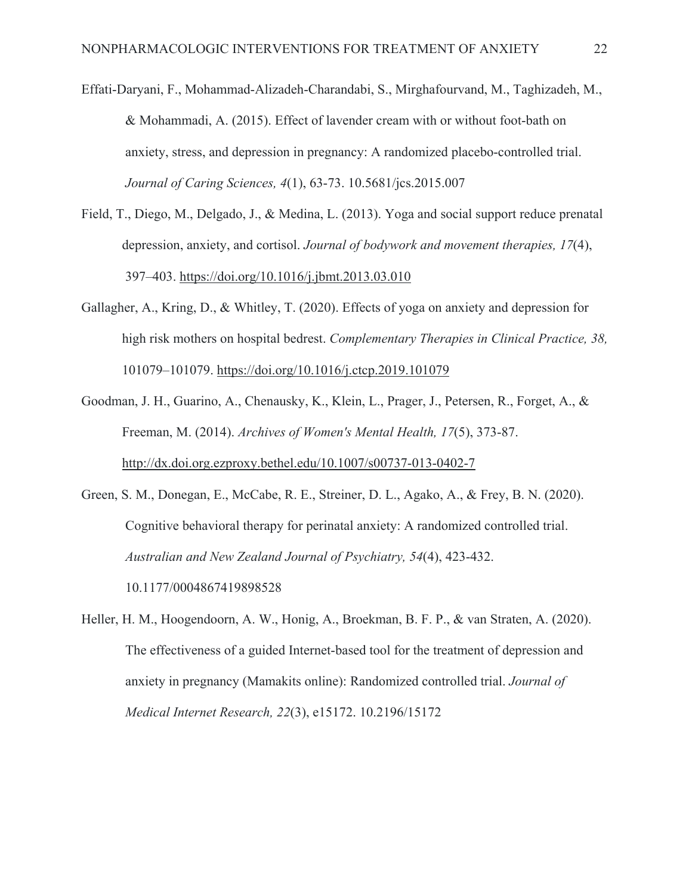Effati-Daryani, F., Mohammad-Alizadeh-Charandabi, S., Mirghafourvand, M., Taghizadeh, M., & Mohammadi, A. (2015). Effect of lavender cream with or without foot-bath on anxiety, stress, and depression in pregnancy: A randomized placebo-controlled trial.  *Journal of Caring Sciences, 4*(1), 63-73. 10.5681/jcs.2015.007

- Field, T., Diego, M., Delgado, J., & Medina, L. (2013). Yoga and social support reduce prenatal depression, anxiety, and cortisol. *Journal of bodywork and movement therapies, 17*(4), 397–403. https://doi.org/10.1016/j.jbmt.2013.03.010
- Gallagher, A., Kring, D., & Whitley, T. (2020). Effects of yoga on anxiety and depression for high risk mothers on hospital bedrest. *Complementary Therapies in Clinical Practice, 38,*  101079–101079. https://doi.org/10.1016/j.ctcp.2019.101079
- Goodman, J. H., Guarino, A., Chenausky, K., Klein, L., Prager, J., Petersen, R., Forget, A., & Freeman, M. (2014). *Archives of Women's Mental Health, 17*(5), 373-87. http://dx.doi.org.ezproxy.bethel.edu/10.1007/s00737-013-0402-7
- Green, S. M., Donegan, E., McCabe, R. E., Streiner, D. L., Agako, A., & Frey, B. N. (2020). Cognitive behavioral therapy for perinatal anxiety: A randomized controlled trial.  *Australian and New Zealand Journal of Psychiatry, 54*(4), 423-432. 10.1177/0004867419898528
- Heller, H. M., Hoogendoorn, A. W., Honig, A., Broekman, B. F. P., & van Straten, A. (2020). The effectiveness of a guided Internet-based tool for the treatment of depression and anxiety in pregnancy (Mamakits online): Randomized controlled trial. *Journal of Medical Internet Research, 22*(3), e15172. 10.2196/15172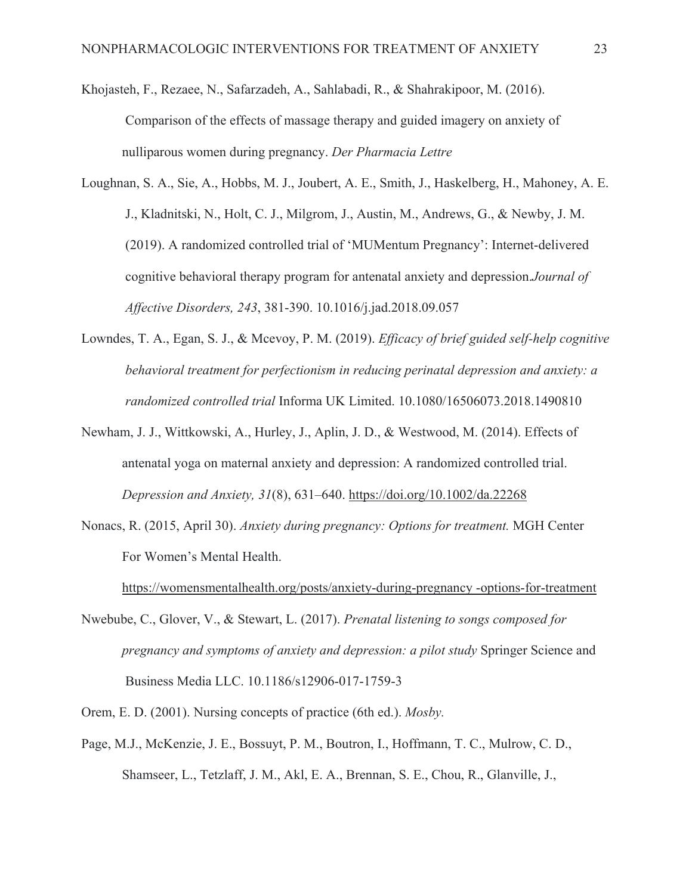- Khojasteh, F., Rezaee, N., Safarzadeh, A., Sahlabadi, R., & Shahrakipoor, M. (2016). Comparison of the effects of massage therapy and guided imagery on anxiety of nulliparous women during pregnancy. *Der Pharmacia Lettre*
- Loughnan, S. A., Sie, A., Hobbs, M. J., Joubert, A. E., Smith, J., Haskelberg, H., Mahoney, A. E. J., Kladnitski, N., Holt, C. J., Milgrom, J., Austin, M., Andrews, G., & Newby, J. M. (2019). A randomized controlled trial of 'MUMentum Pregnancy': Internet-delivered cognitive behavioral therapy program for antenatal anxiety and depression.*Journal of Affective Disorders, 243*, 381-390. 10.1016/j.jad.2018.09.057
- Lowndes, T. A., Egan, S. J., & Mcevoy, P. M. (2019). *Efficacy of brief guided self-help cognitive behavioral treatment for perfectionism in reducing perinatal depression and anxiety: a randomized controlled trial* Informa UK Limited. 10.1080/16506073.2018.1490810
- Newham, J. J., Wittkowski, A., Hurley, J., Aplin, J. D., & Westwood, M. (2014). Effects of antenatal yoga on maternal anxiety and depression: A randomized controlled trial. *Depression and Anxiety, 31*(8), 631–640. https://doi.org/10.1002/da.22268
- Nonacs, R. (2015, April 30). *Anxiety during pregnancy: Options for treatment.* MGH Center For Women's Mental Health.

https://womensmentalhealth.org/posts/anxiety-during-pregnancy -options-for-treatment

- Nwebube, C., Glover, V., & Stewart, L. (2017). *Prenatal listening to songs composed for pregnancy and symptoms of anxiety and depression: a pilot study* Springer Science and Business Media LLC. 10.1186/s12906-017-1759-3
- Orem, E. D. (2001). Nursing concepts of practice (6th ed.). *Mosby.*
- Page, M.J., McKenzie, J. E., Bossuyt, P. M., Boutron, I., Hoffmann, T. C., Mulrow, C. D., Shamseer, L., Tetzlaff, J. M., Akl, E. A., Brennan, S. E., Chou, R., Glanville, J.,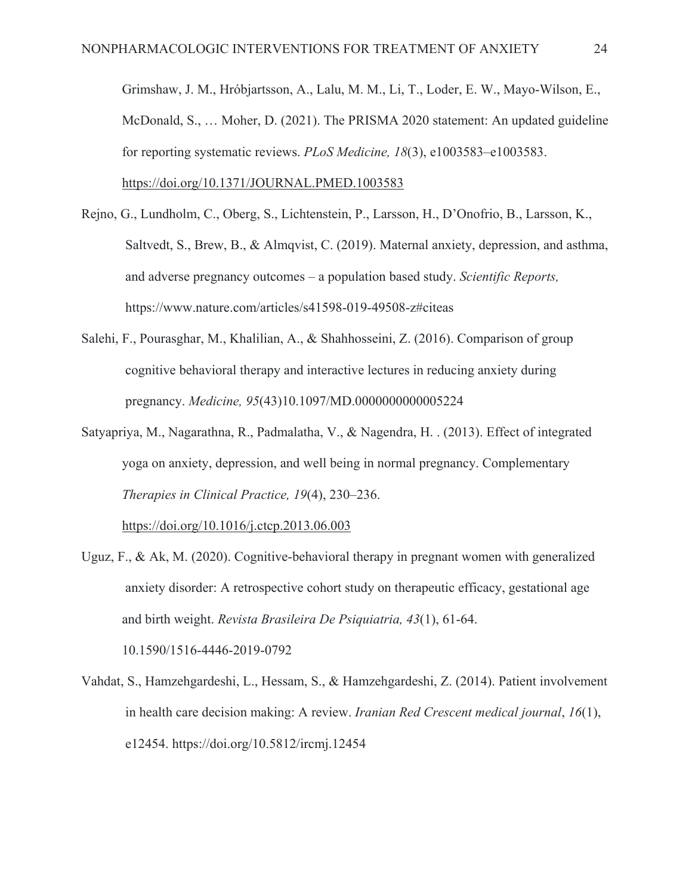Grimshaw, J. M., Hróbjartsson, A., Lalu, M. M., Li, T., Loder, E. W., Mayo-Wilson, E., McDonald, S., … Moher, D. (2021). The PRISMA 2020 statement: An updated guideline for reporting systematic reviews. *PLoS Medicine, 18*(3), e1003583–e1003583. https://doi.org/10.1371/JOURNAL.PMED.1003583

- Rejno, G., Lundholm, C., Oberg, S., Lichtenstein, P., Larsson, H., D'Onofrio, B., Larsson, K., Saltvedt, S., Brew, B., & Almqvist, C. (2019). Maternal anxiety, depression, and asthma, and adverse pregnancy outcomes – a population based study. *Scientific Reports,* https://www.nature.com/articles/s41598-019-49508-z#citeas
- Salehi, F., Pourasghar, M., Khalilian, A., & Shahhosseini, Z. (2016). Comparison of group cognitive behavioral therapy and interactive lectures in reducing anxiety during pregnancy. *Medicine, 95*(43)10.1097/MD.0000000000005224
- Satyapriya, M., Nagarathna, R., Padmalatha, V., & Nagendra, H. . (2013). Effect of integrated yoga on anxiety, depression, and well being in normal pregnancy. Complementary *Therapies in Clinical Practice, 19*(4), 230–236.

https://doi.org/10.1016/j.ctcp.2013.06.003

- Uguz, F., & Ak, M. (2020). Cognitive-behavioral therapy in pregnant women with generalized anxiety disorder: A retrospective cohort study on therapeutic efficacy, gestational age and birth weight. *Revista Brasileira De Psiquiatria, 43*(1), 61-64. 10.1590/1516-4446-2019-0792
- Vahdat, S., Hamzehgardeshi, L., Hessam, S., & Hamzehgardeshi, Z. (2014). Patient involvement in health care decision making: A review. *Iranian Red Crescent medical journal*, *16*(1), e12454. https://doi.org/10.5812/ircmj.12454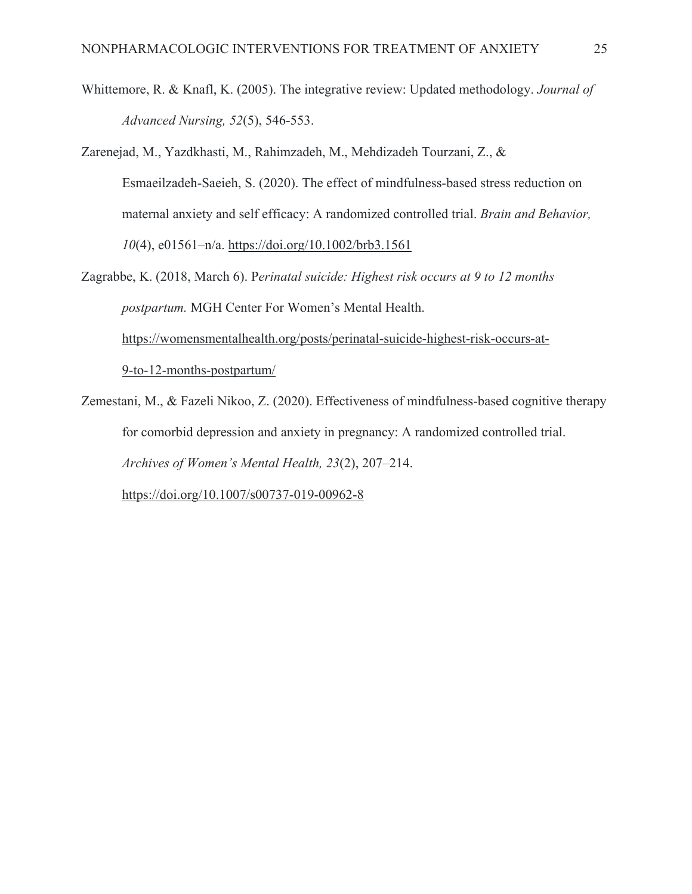- Whittemore, R. & Knafl, K. (2005). The integrative review: Updated methodology. *Journal of Advanced Nursing, 52*(5), 546-553.
- Zarenejad, M., Yazdkhasti, M., Rahimzadeh, M., Mehdizadeh Tourzani, Z., & Esmaeilzadeh-Saeieh, S. (2020). The effect of mindfulness‐based stress reduction on maternal anxiety and self efficacy: A randomized controlled trial. *Brain and Behavior, 10*(4), e01561–n/a. https://doi.org/10.1002/brb3.1561
- Zagrabbe, K. (2018, March 6). P*erinatal suicide: Highest risk occurs at 9 to 12 months postpartum.* MGH Center For Women's Mental Health. https://womensmentalhealth.org/posts/perinatal-suicide-highest-risk-occurs-at- 9-to-12-months-postpartum/
- Zemestani, M., & Fazeli Nikoo, Z. (2020). Effectiveness of mindfulness-based cognitive therapy for comorbid depression and anxiety in pregnancy: A randomized controlled trial. *Archives of Women's Mental Health, 23*(2), 207–214.

https://doi.org/10.1007/s00737-019-00962-8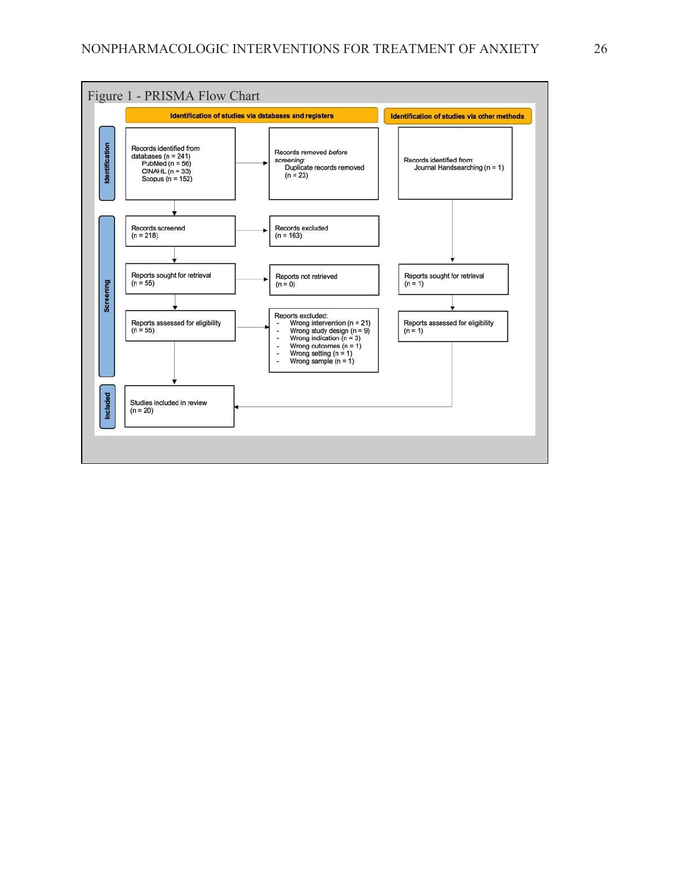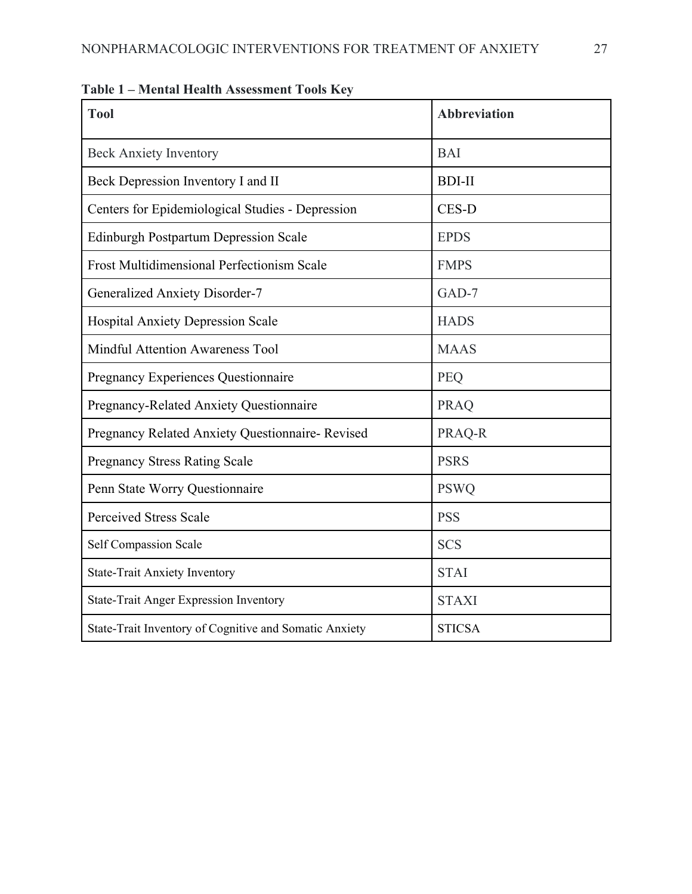| <b>Tool</b>                                            | <b>Abbreviation</b> |
|--------------------------------------------------------|---------------------|
| <b>Beck Anxiety Inventory</b>                          | <b>BAI</b>          |
| Beck Depression Inventory I and II                     | <b>BDI-II</b>       |
| Centers for Epidemiological Studies - Depression       | CES-D               |
| <b>Edinburgh Postpartum Depression Scale</b>           | <b>EPDS</b>         |
| <b>Frost Multidimensional Perfectionism Scale</b>      | <b>FMPS</b>         |
| <b>Generalized Anxiety Disorder-7</b>                  | $GAD-7$             |
| <b>Hospital Anxiety Depression Scale</b>               | <b>HADS</b>         |
| Mindful Attention Awareness Tool                       | <b>MAAS</b>         |
| Pregnancy Experiences Questionnaire                    | PEQ                 |
| Pregnancy-Related Anxiety Questionnaire                | <b>PRAQ</b>         |
| Pregnancy Related Anxiety Questionnaire-Revised        | PRAQ-R              |
| <b>Pregnancy Stress Rating Scale</b>                   | <b>PSRS</b>         |
| Penn State Worry Questionnaire                         | <b>PSWQ</b>         |
| <b>Perceived Stress Scale</b>                          | <b>PSS</b>          |
| Self Compassion Scale                                  | <b>SCS</b>          |
| <b>State-Trait Anxiety Inventory</b>                   | <b>STAI</b>         |
| <b>State-Trait Anger Expression Inventory</b>          | <b>STAXI</b>        |
| State-Trait Inventory of Cognitive and Somatic Anxiety | <b>STICSA</b>       |

**Table 1 – Mental Health Assessment Tools Key**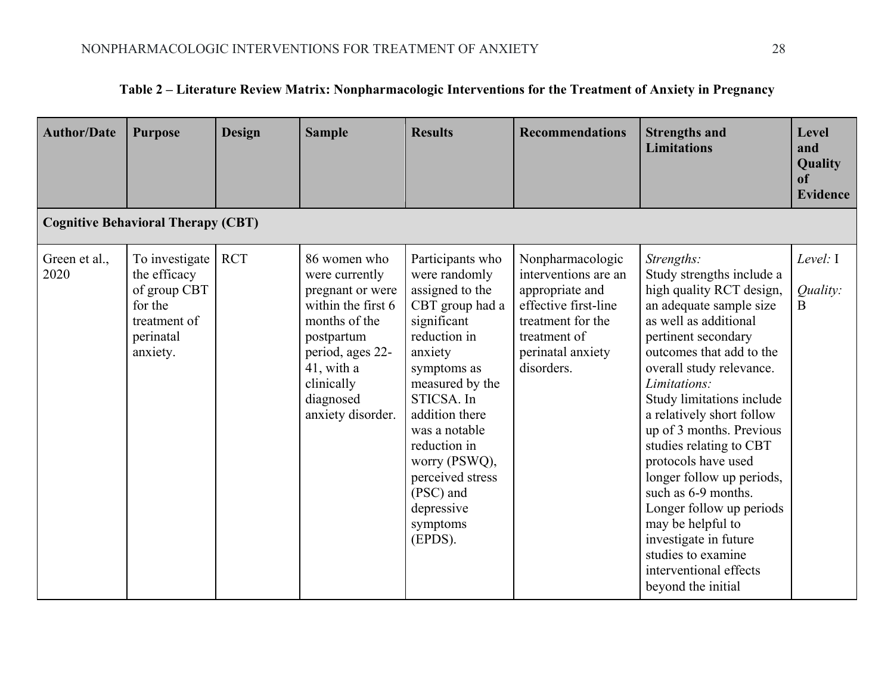| <b>Author/Date</b>                        | <b>Purpose</b>                                                                                     | <b>Design</b> | <b>Sample</b>                                                                                                                                                                             | <b>Results</b>                                                                                                                                                                                                                                                                                              | <b>Recommendations</b>                                                                                                                                      | <b>Strengths and</b><br><b>Limitations</b>                                                                                                                                                                                                                                                                                                                                                                                                                                                                                                                         | Level<br>and<br>Quality<br><sub>of</sub><br><b>Evidence</b> |  |  |  |
|-------------------------------------------|----------------------------------------------------------------------------------------------------|---------------|-------------------------------------------------------------------------------------------------------------------------------------------------------------------------------------------|-------------------------------------------------------------------------------------------------------------------------------------------------------------------------------------------------------------------------------------------------------------------------------------------------------------|-------------------------------------------------------------------------------------------------------------------------------------------------------------|--------------------------------------------------------------------------------------------------------------------------------------------------------------------------------------------------------------------------------------------------------------------------------------------------------------------------------------------------------------------------------------------------------------------------------------------------------------------------------------------------------------------------------------------------------------------|-------------------------------------------------------------|--|--|--|
| <b>Cognitive Behavioral Therapy (CBT)</b> |                                                                                                    |               |                                                                                                                                                                                           |                                                                                                                                                                                                                                                                                                             |                                                                                                                                                             |                                                                                                                                                                                                                                                                                                                                                                                                                                                                                                                                                                    |                                                             |  |  |  |
| Green et al.,<br>2020                     | To investigate<br>the efficacy<br>of group CBT<br>for the<br>treatment of<br>perinatal<br>anxiety. | <b>RCT</b>    | 86 women who<br>were currently<br>pregnant or were<br>within the first 6<br>months of the<br>postpartum<br>period, ages 22-<br>41, with a<br>clinically<br>diagnosed<br>anxiety disorder. | Participants who<br>were randomly<br>assigned to the<br>CBT group had a<br>significant<br>reduction in<br>anxiety<br>symptoms as<br>measured by the<br>STICSA. In<br>addition there<br>was a notable<br>reduction in<br>worry (PSWQ),<br>perceived stress<br>(PSC) and<br>depressive<br>symptoms<br>(EPDS). | Nonpharmacologic<br>interventions are an<br>appropriate and<br>effective first-line<br>treatment for the<br>treatment of<br>perinatal anxiety<br>disorders. | Strengths:<br>Study strengths include a<br>high quality RCT design,<br>an adequate sample size<br>as well as additional<br>pertinent secondary<br>outcomes that add to the<br>overall study relevance.<br>Limitations:<br>Study limitations include<br>a relatively short follow<br>up of 3 months. Previous<br>studies relating to CBT<br>protocols have used<br>longer follow up periods,<br>such as 6-9 months.<br>Longer follow up periods<br>may be helpful to<br>investigate in future<br>studies to examine<br>interventional effects<br>beyond the initial | Level: I<br>Quality:<br>$\bf{B}$                            |  |  |  |

# **Table 2 – Literature Review Matrix: Nonpharmacologic Interventions for the Treatment of Anxiety in Pregnancy**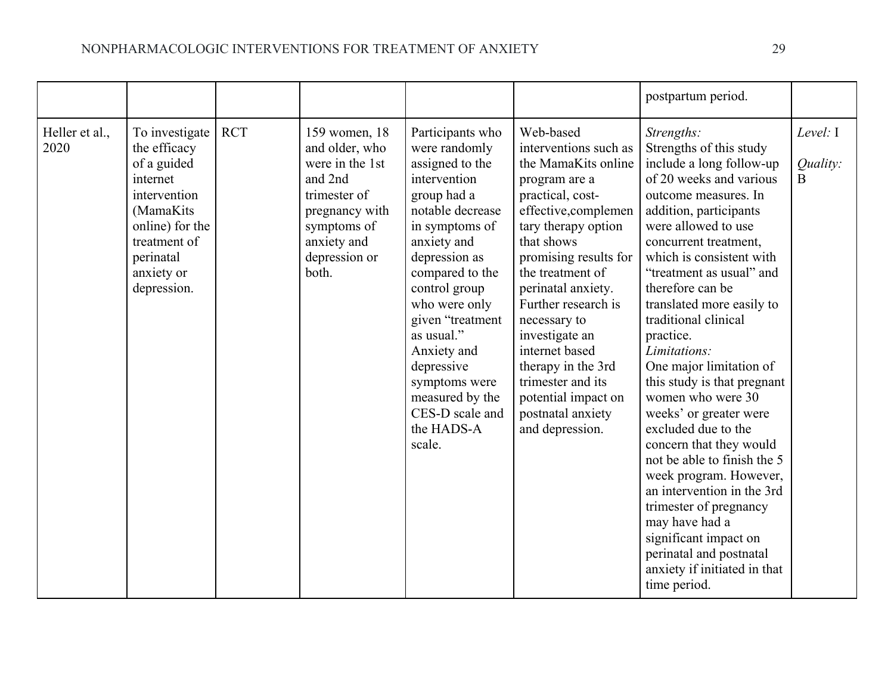|                        |                                                                                                                                                                     |            |                                                                                                                                                         |                                                                                                                                                                                                                                                                                                                                                              |                                                                                                                                                                                                                                                                                                                                                                                                                     | postpartum period.                                                                                                                                                                                                                                                                                                                                                                                                                                                                                                                                                                                                                                                                                                                                             |                                  |
|------------------------|---------------------------------------------------------------------------------------------------------------------------------------------------------------------|------------|---------------------------------------------------------------------------------------------------------------------------------------------------------|--------------------------------------------------------------------------------------------------------------------------------------------------------------------------------------------------------------------------------------------------------------------------------------------------------------------------------------------------------------|---------------------------------------------------------------------------------------------------------------------------------------------------------------------------------------------------------------------------------------------------------------------------------------------------------------------------------------------------------------------------------------------------------------------|----------------------------------------------------------------------------------------------------------------------------------------------------------------------------------------------------------------------------------------------------------------------------------------------------------------------------------------------------------------------------------------------------------------------------------------------------------------------------------------------------------------------------------------------------------------------------------------------------------------------------------------------------------------------------------------------------------------------------------------------------------------|----------------------------------|
| Heller et al.,<br>2020 | To investigate<br>the efficacy<br>of a guided<br>internet<br>intervention<br>(MamaKits<br>online) for the<br>treatment of<br>perinatal<br>anxiety or<br>depression. | <b>RCT</b> | 159 women, 18<br>and older, who<br>were in the 1st<br>and 2nd<br>trimester of<br>pregnancy with<br>symptoms of<br>anxiety and<br>depression or<br>both. | Participants who<br>were randomly<br>assigned to the<br>intervention<br>group had a<br>notable decrease<br>in symptoms of<br>anxiety and<br>depression as<br>compared to the<br>control group<br>who were only<br>given "treatment<br>as usual."<br>Anxiety and<br>depressive<br>symptoms were<br>measured by the<br>CES-D scale and<br>the HADS-A<br>scale. | Web-based<br>interventions such as<br>the MamaKits online<br>program are a<br>practical, cost-<br>effective, complemen<br>tary therapy option<br>that shows<br>promising results for<br>the treatment of<br>perinatal anxiety.<br>Further research is<br>necessary to<br>investigate an<br>internet based<br>therapy in the 3rd<br>trimester and its<br>potential impact on<br>postnatal anxiety<br>and depression. | Strengths:<br>Strengths of this study<br>include a long follow-up<br>of 20 weeks and various<br>outcome measures. In<br>addition, participants<br>were allowed to use<br>concurrent treatment,<br>which is consistent with<br>"treatment as usual" and<br>therefore can be<br>translated more easily to<br>traditional clinical<br>practice.<br>Limitations:<br>One major limitation of<br>this study is that pregnant<br>women who were 30<br>weeks' or greater were<br>excluded due to the<br>concern that they would<br>not be able to finish the 5<br>week program. However,<br>an intervention in the 3rd<br>trimester of pregnancy<br>may have had a<br>significant impact on<br>perinatal and postnatal<br>anxiety if initiated in that<br>time period. | Level: I<br>Quality:<br>$\bf{B}$ |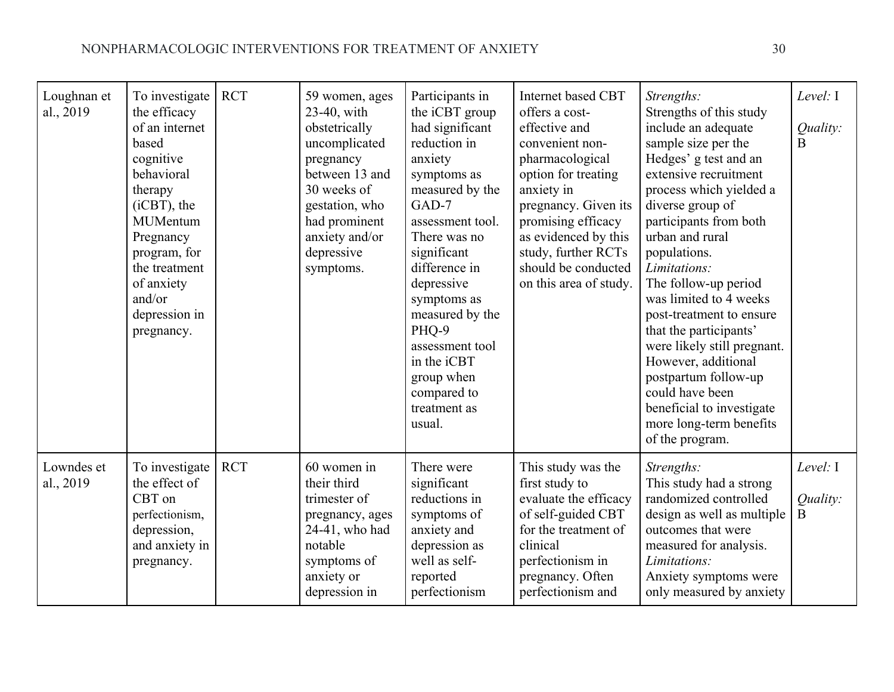| Loughnan et<br>al., 2019 | To investigate<br>the efficacy<br>of an internet<br>based<br>cognitive<br>behavioral<br>therapy<br>$(iCBT)$ , the<br><b>MUMentum</b><br>Pregnancy<br>program, for<br>the treatment<br>of anxiety<br>and/or<br>depression in<br>pregnancy. | <b>RCT</b> | 59 women, ages<br>23-40, with<br>obstetrically<br>uncomplicated<br>pregnancy<br>between 13 and<br>30 weeks of<br>gestation, who<br>had prominent<br>anxiety and/or<br>depressive<br>symptoms. | Participants in<br>the iCBT group<br>had significant<br>reduction in<br>anxiety<br>symptoms as<br>measured by the<br>GAD-7<br>assessment tool.<br>There was no<br>significant<br>difference in<br>depressive<br>symptoms as<br>measured by the<br>PHQ-9<br>assessment tool<br>in the iCBT<br>group when<br>compared to<br>treatment as<br>usual. | <b>Internet based CBT</b><br>offers a cost-<br>effective and<br>convenient non-<br>pharmacological<br>option for treating<br>anxiety in<br>pregnancy. Given its<br>promising efficacy<br>as evidenced by this<br>study, further RCTs<br>should be conducted<br>on this area of study. | Strengths:<br>Strengths of this study<br>include an adequate<br>sample size per the<br>Hedges' g test and an<br>extensive recruitment<br>process which yielded a<br>diverse group of<br>participants from both<br>urban and rural<br>populations.<br>Limitations:<br>The follow-up period<br>was limited to 4 weeks<br>post-treatment to ensure<br>that the participants'<br>were likely still pregnant.<br>However, additional<br>postpartum follow-up<br>could have been<br>beneficial to investigate<br>more long-term benefits<br>of the program. | Level: I<br>Quality:<br>$\overline{B}$ |
|--------------------------|-------------------------------------------------------------------------------------------------------------------------------------------------------------------------------------------------------------------------------------------|------------|-----------------------------------------------------------------------------------------------------------------------------------------------------------------------------------------------|--------------------------------------------------------------------------------------------------------------------------------------------------------------------------------------------------------------------------------------------------------------------------------------------------------------------------------------------------|---------------------------------------------------------------------------------------------------------------------------------------------------------------------------------------------------------------------------------------------------------------------------------------|-------------------------------------------------------------------------------------------------------------------------------------------------------------------------------------------------------------------------------------------------------------------------------------------------------------------------------------------------------------------------------------------------------------------------------------------------------------------------------------------------------------------------------------------------------|----------------------------------------|
| Lowndes et<br>al., 2019  | To investigate<br>the effect of<br>CBT on<br>perfectionism,<br>depression,<br>and anxiety in<br>pregnancy.                                                                                                                                | <b>RCT</b> | 60 women in<br>their third<br>trimester of<br>pregnancy, ages<br>24-41, who had<br>notable<br>symptoms of<br>anxiety or<br>depression in                                                      | There were<br>significant<br>reductions in<br>symptoms of<br>anxiety and<br>depression as<br>well as self-<br>reported<br>perfectionism                                                                                                                                                                                                          | This study was the<br>first study to<br>evaluate the efficacy<br>of self-guided CBT<br>for the treatment of<br>clinical<br>perfectionism in<br>pregnancy. Often<br>perfectionism and                                                                                                  | Strengths:<br>This study had a strong<br>randomized controlled<br>design as well as multiple<br>outcomes that were<br>measured for analysis.<br>Limitations:<br>Anxiety symptoms were<br>only measured by anxiety                                                                                                                                                                                                                                                                                                                                     | Level: $I$<br>Quality:<br>$\bf{B}$     |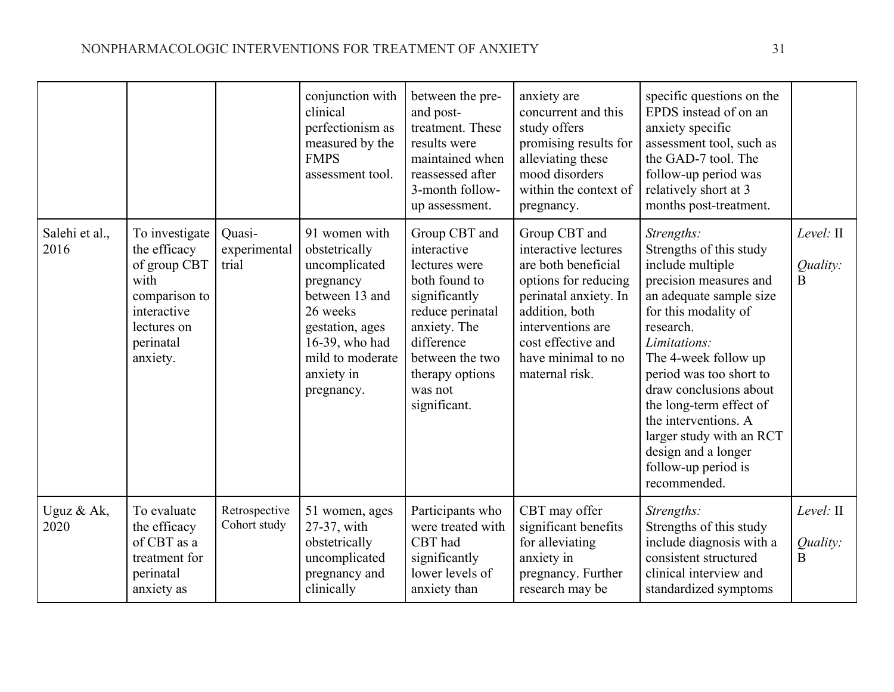|                        |                                                                                                                                |                                 | conjunction with<br>clinical<br>perfectionism as<br>measured by the<br><b>FMPS</b><br>assessment tool.                                                                          | between the pre-<br>and post-<br>treatment. These<br>results were<br>maintained when<br>reassessed after<br>3-month follow-<br>up assessment.                                                      | anxiety are<br>concurrent and this<br>study offers<br>promising results for<br>alleviating these<br>mood disorders<br>within the context of<br>pregnancy.                                                          | specific questions on the<br>EPDS instead of on an<br>anxiety specific<br>assessment tool, such as<br>the GAD-7 tool. The<br>follow-up period was<br>relatively short at 3<br>months post-treatment.                                                                                                                                                                                          |                                      |
|------------------------|--------------------------------------------------------------------------------------------------------------------------------|---------------------------------|---------------------------------------------------------------------------------------------------------------------------------------------------------------------------------|----------------------------------------------------------------------------------------------------------------------------------------------------------------------------------------------------|--------------------------------------------------------------------------------------------------------------------------------------------------------------------------------------------------------------------|-----------------------------------------------------------------------------------------------------------------------------------------------------------------------------------------------------------------------------------------------------------------------------------------------------------------------------------------------------------------------------------------------|--------------------------------------|
| Salehi et al.,<br>2016 | To investigate<br>the efficacy<br>of group CBT<br>with<br>comparison to<br>interactive<br>lectures on<br>perinatal<br>anxiety. | Quasi-<br>experimental<br>trial | 91 women with<br>obstetrically<br>uncomplicated<br>pregnancy<br>between 13 and<br>26 weeks<br>gestation, ages<br>16-39, who had<br>mild to moderate<br>anxiety in<br>pregnancy. | Group CBT and<br>interactive<br>lectures were<br>both found to<br>significantly<br>reduce perinatal<br>anxiety. The<br>difference<br>between the two<br>therapy options<br>was not<br>significant. | Group CBT and<br>interactive lectures<br>are both beneficial<br>options for reducing<br>perinatal anxiety. In<br>addition, both<br>interventions are<br>cost effective and<br>have minimal to no<br>maternal risk. | Strengths:<br>Strengths of this study<br>include multiple<br>precision measures and<br>an adequate sample size<br>for this modality of<br>research.<br>Limitations:<br>The 4-week follow up<br>period was too short to<br>draw conclusions about<br>the long-term effect of<br>the interventions. A<br>larger study with an RCT<br>design and a longer<br>follow-up period is<br>recommended. | Level: II<br>Quality:<br>$\mathbf B$ |
| Uguz & Ak,<br>2020     | To evaluate<br>the efficacy<br>of CBT as a<br>treatment for<br>perinatal<br>anxiety as                                         | Retrospective<br>Cohort study   | 51 women, ages<br>27-37, with<br>obstetrically<br>uncomplicated<br>pregnancy and<br>clinically                                                                                  | Participants who<br>were treated with<br>CBT had<br>significantly<br>lower levels of<br>anxiety than                                                                                               | CBT may offer<br>significant benefits<br>for alleviating<br>anxiety in<br>pregnancy. Further<br>research may be                                                                                                    | Strengths:<br>Strengths of this study<br>include diagnosis with a<br>consistent structured<br>clinical interview and<br>standardized symptoms                                                                                                                                                                                                                                                 | Level: II<br>Quality:<br>B           |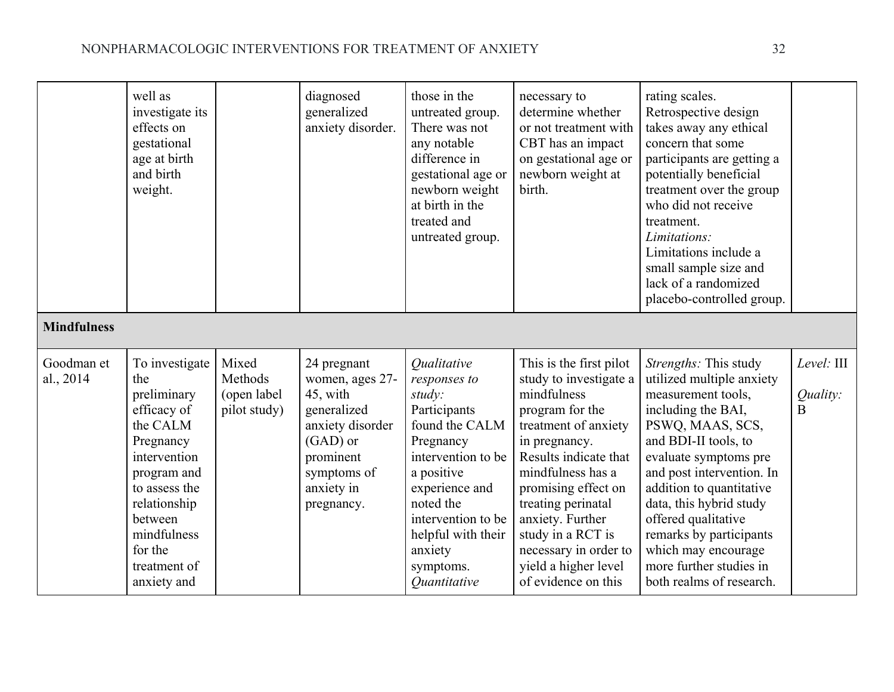|                         | well as<br>investigate its<br>effects on<br>gestational<br>age at birth<br>and birth<br>weight.                                                                                                                  |                                                 | diagnosed<br>generalized<br>anxiety disorder.                                                                                                     | those in the<br>untreated group.<br>There was not<br>any notable<br>difference in<br>gestational age or<br>newborn weight<br>at birth in the<br>treated and<br>untreated group.                                                                                         | necessary to<br>determine whether<br>or not treatment with<br>CBT has an impact<br>on gestational age or<br>newborn weight at<br>birth.                                                                                                                                                                                                  | rating scales.<br>Retrospective design<br>takes away any ethical<br>concern that some<br>participants are getting a<br>potentially beneficial<br>treatment over the group<br>who did not receive<br>treatment.<br>Limitations:<br>Limitations include a<br>small sample size and<br>lack of a randomized<br>placebo-controlled group.                                                   |                                            |
|-------------------------|------------------------------------------------------------------------------------------------------------------------------------------------------------------------------------------------------------------|-------------------------------------------------|---------------------------------------------------------------------------------------------------------------------------------------------------|-------------------------------------------------------------------------------------------------------------------------------------------------------------------------------------------------------------------------------------------------------------------------|------------------------------------------------------------------------------------------------------------------------------------------------------------------------------------------------------------------------------------------------------------------------------------------------------------------------------------------|-----------------------------------------------------------------------------------------------------------------------------------------------------------------------------------------------------------------------------------------------------------------------------------------------------------------------------------------------------------------------------------------|--------------------------------------------|
| <b>Mindfulness</b>      |                                                                                                                                                                                                                  |                                                 |                                                                                                                                                   |                                                                                                                                                                                                                                                                         |                                                                                                                                                                                                                                                                                                                                          |                                                                                                                                                                                                                                                                                                                                                                                         |                                            |
| Goodman et<br>al., 2014 | To investigate<br>the<br>preliminary<br>efficacy of<br>the CALM<br>Pregnancy<br>intervention<br>program and<br>to assess the<br>relationship<br>between<br>mindfulness<br>for the<br>treatment of<br>anxiety and | Mixed<br>Methods<br>(open label<br>pilot study) | 24 pregnant<br>women, ages 27-<br>45, with<br>generalized<br>anxiety disorder<br>(GAD) or<br>prominent<br>symptoms of<br>anxiety in<br>pregnancy. | <i><b>Oualitative</b></i><br>responses to<br>study:<br>Participants<br>found the CALM<br>Pregnancy<br>intervention to be<br>a positive<br>experience and<br>noted the<br>intervention to be<br>helpful with their<br>anxiety<br>symptoms.<br><i><u>Ouantitative</u></i> | This is the first pilot<br>study to investigate a<br>mindfulness<br>program for the<br>treatment of anxiety<br>in pregnancy.<br>Results indicate that<br>mindfulness has a<br>promising effect on<br>treating perinatal<br>anxiety. Further<br>study in a RCT is<br>necessary in order to<br>yield a higher level<br>of evidence on this | Strengths: This study<br>utilized multiple anxiety<br>measurement tools,<br>including the BAI,<br>PSWQ, MAAS, SCS,<br>and BDI-II tools, to<br>evaluate symptoms pre<br>and post intervention. In<br>addition to quantitative<br>data, this hybrid study<br>offered qualitative<br>remarks by participants<br>which may encourage<br>more further studies in<br>both realms of research. | Level: III<br>Quality:<br>$\boldsymbol{B}$ |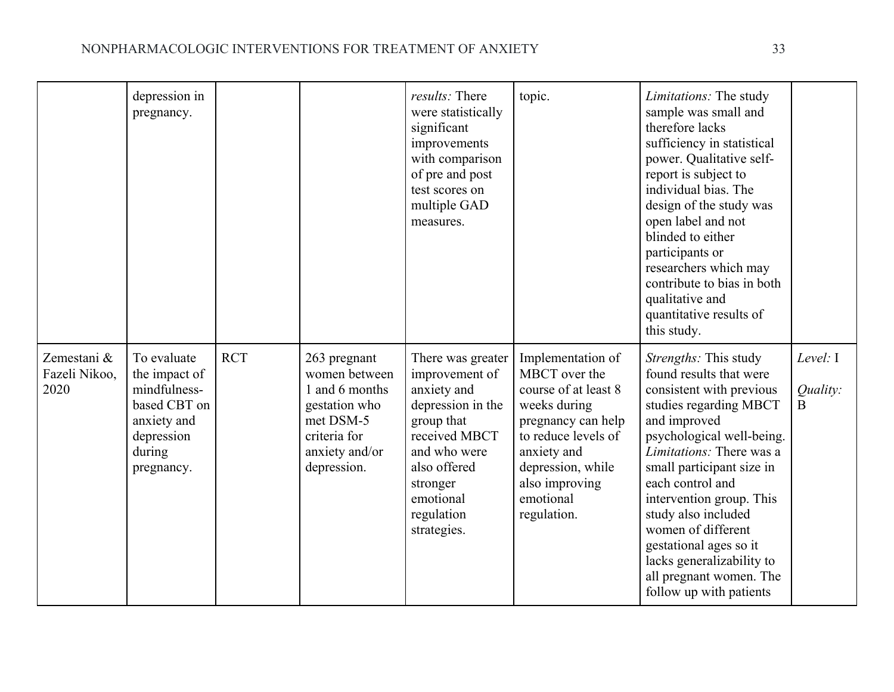|                                      | depression in<br>pregnancy.                                                                                       |            |                                                                                                                                | results: There<br>were statistically<br>significant<br>improvements<br>with comparison<br>of pre and post<br>test scores on<br>multiple GAD<br>measures.                                     | topic.                                                                                                                                                                                                    | Limitations: The study<br>sample was small and<br>therefore lacks<br>sufficiency in statistical<br>power. Qualitative self-<br>report is subject to<br>individual bias. The<br>design of the study was<br>open label and not<br>blinded to either<br>participants or<br>researchers which may<br>contribute to bias in both<br>qualitative and<br>quantitative results of<br>this study.                                      |                                  |
|--------------------------------------|-------------------------------------------------------------------------------------------------------------------|------------|--------------------------------------------------------------------------------------------------------------------------------|----------------------------------------------------------------------------------------------------------------------------------------------------------------------------------------------|-----------------------------------------------------------------------------------------------------------------------------------------------------------------------------------------------------------|-------------------------------------------------------------------------------------------------------------------------------------------------------------------------------------------------------------------------------------------------------------------------------------------------------------------------------------------------------------------------------------------------------------------------------|----------------------------------|
| Zemestani &<br>Fazeli Nikoo,<br>2020 | To evaluate<br>the impact of<br>mindfulness-<br>based CBT on<br>anxiety and<br>depression<br>during<br>pregnancy. | <b>RCT</b> | 263 pregnant<br>women between<br>1 and 6 months<br>gestation who<br>met DSM-5<br>criteria for<br>anxiety and/or<br>depression. | There was greater<br>improvement of<br>anxiety and<br>depression in the<br>group that<br>received MBCT<br>and who were<br>also offered<br>stronger<br>emotional<br>regulation<br>strategies. | Implementation of<br>MBCT over the<br>course of at least 8<br>weeks during<br>pregnancy can help<br>to reduce levels of<br>anxiety and<br>depression, while<br>also improving<br>emotional<br>regulation. | Strengths: This study<br>found results that were<br>consistent with previous<br>studies regarding MBCT<br>and improved<br>psychological well-being.<br><i>Limitations:</i> There was a<br>small participant size in<br>each control and<br>intervention group. This<br>study also included<br>women of different<br>gestational ages so it<br>lacks generalizability to<br>all pregnant women. The<br>follow up with patients | Level: I<br>Quality:<br>$\bf{B}$ |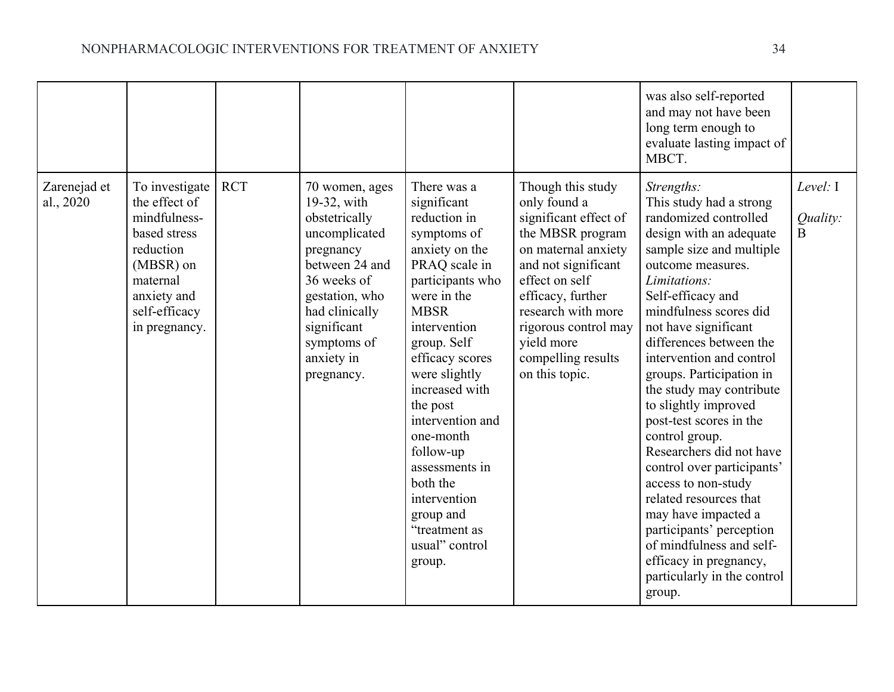|                           |                                                                                                                                                        |            |                                                                                                                                                                                                             |                                                                                                                                                                                                                                                                                                                                                                                                       |                                                                                                                                                                                                                                                                         | was also self-reported<br>and may not have been<br>long term enough to<br>evaluate lasting impact of<br>MBCT.                                                                                                                                                                                                                                                                                                                                                                                                                                                                                                                                                                      |                                    |
|---------------------------|--------------------------------------------------------------------------------------------------------------------------------------------------------|------------|-------------------------------------------------------------------------------------------------------------------------------------------------------------------------------------------------------------|-------------------------------------------------------------------------------------------------------------------------------------------------------------------------------------------------------------------------------------------------------------------------------------------------------------------------------------------------------------------------------------------------------|-------------------------------------------------------------------------------------------------------------------------------------------------------------------------------------------------------------------------------------------------------------------------|------------------------------------------------------------------------------------------------------------------------------------------------------------------------------------------------------------------------------------------------------------------------------------------------------------------------------------------------------------------------------------------------------------------------------------------------------------------------------------------------------------------------------------------------------------------------------------------------------------------------------------------------------------------------------------|------------------------------------|
| Zarenejad et<br>al., 2020 | To investigate<br>the effect of<br>mindfulness-<br>based stress<br>reduction<br>(MBSR) on<br>maternal<br>anxiety and<br>self-efficacy<br>in pregnancy. | <b>RCT</b> | 70 women, ages<br>19-32, with<br>obstetrically<br>uncomplicated<br>pregnancy<br>between 24 and<br>36 weeks of<br>gestation, who<br>had clinically<br>significant<br>symptoms of<br>anxiety in<br>pregnancy. | There was a<br>significant<br>reduction in<br>symptoms of<br>anxiety on the<br>PRAQ scale in<br>participants who<br>were in the<br><b>MBSR</b><br>intervention<br>group. Self<br>efficacy scores<br>were slightly<br>increased with<br>the post<br>intervention and<br>one-month<br>follow-up<br>assessments in<br>both the<br>intervention<br>group and<br>"treatment as<br>usual" control<br>group. | Though this study<br>only found a<br>significant effect of<br>the MBSR program<br>on maternal anxiety<br>and not significant<br>effect on self<br>efficacy, further<br>research with more<br>rigorous control may<br>yield more<br>compelling results<br>on this topic. | Strengths:<br>This study had a strong<br>randomized controlled<br>design with an adequate<br>sample size and multiple<br>outcome measures.<br>Limitations:<br>Self-efficacy and<br>mindfulness scores did<br>not have significant<br>differences between the<br>intervention and control<br>groups. Participation in<br>the study may contribute<br>to slightly improved<br>post-test scores in the<br>control group.<br>Researchers did not have<br>control over participants'<br>access to non-study<br>related resources that<br>may have impacted a<br>participants' perception<br>of mindfulness and self-<br>efficacy in pregnancy,<br>particularly in the control<br>group. | Level: $I$<br>Quality:<br>$\bf{B}$ |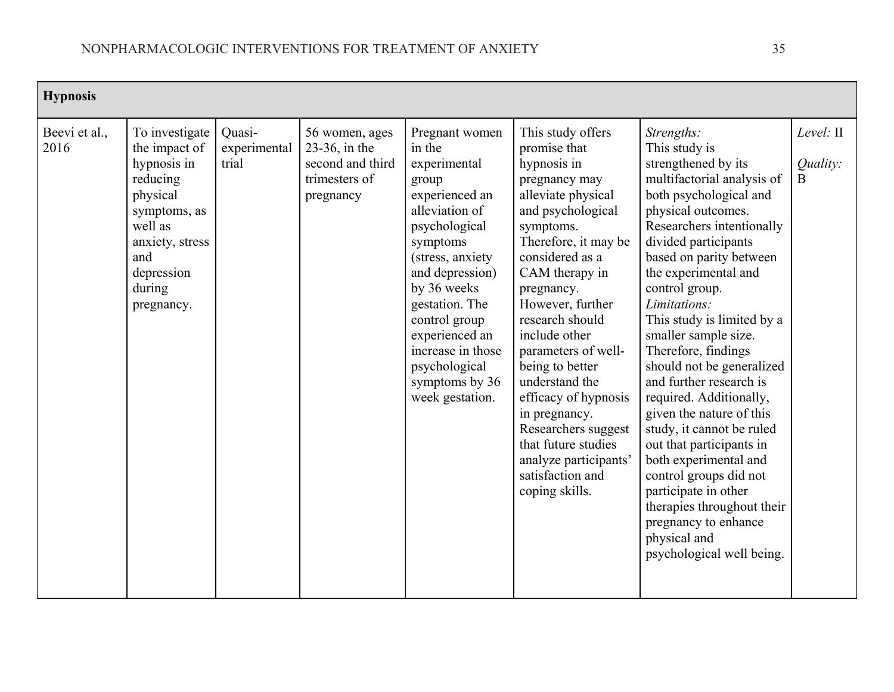| <b>Hypnosis</b>       |                                                                                                                                                                   |                                 |                                                                                      |                                                                                                                                                                                                                                                                                                          |                                                                                                                                                                                                                                                                                                                                                                                                                                                                                |                                                                                                                                                                                                                                                                                                                                                                                                                                                                                                                                                                                                                                                                                                               |                            |
|-----------------------|-------------------------------------------------------------------------------------------------------------------------------------------------------------------|---------------------------------|--------------------------------------------------------------------------------------|----------------------------------------------------------------------------------------------------------------------------------------------------------------------------------------------------------------------------------------------------------------------------------------------------------|--------------------------------------------------------------------------------------------------------------------------------------------------------------------------------------------------------------------------------------------------------------------------------------------------------------------------------------------------------------------------------------------------------------------------------------------------------------------------------|---------------------------------------------------------------------------------------------------------------------------------------------------------------------------------------------------------------------------------------------------------------------------------------------------------------------------------------------------------------------------------------------------------------------------------------------------------------------------------------------------------------------------------------------------------------------------------------------------------------------------------------------------------------------------------------------------------------|----------------------------|
| Beevi et al.,<br>2016 | To investigate<br>the impact of<br>hypnosis in<br>reducing<br>physical<br>symptoms, as<br>well as<br>anxiety, stress<br>and<br>depression<br>during<br>pregnancy. | Quasi-<br>experimental<br>trial | 56 women, ages<br>$23-36$ , in the<br>second and third<br>trimesters of<br>pregnancy | Pregnant women<br>in the<br>experimental<br>group<br>experienced an<br>alleviation of<br>psychological<br>symptoms<br>(stress, anxiety<br>and depression)<br>by 36 weeks<br>gestation. The<br>control group<br>experienced an<br>increase in those<br>psychological<br>symptoms by 36<br>week gestation. | This study offers<br>promise that<br>hypnosis in<br>pregnancy may<br>alleviate physical<br>and psychological<br>symptoms.<br>Therefore, it may be<br>considered as a<br>CAM therapy in<br>pregnancy.<br>However, further<br>research should<br>include other<br>parameters of well-<br>being to better<br>understand the<br>efficacy of hypnosis<br>in pregnancy.<br>Researchers suggest<br>that future studies<br>analyze participants'<br>satisfaction and<br>coping skills. | Strengths:<br>This study is<br>strengthened by its<br>multifactorial analysis of<br>both psychological and<br>physical outcomes.<br>Researchers intentionally<br>divided participants<br>based on parity between<br>the experimental and<br>control group.<br>Limitations:<br>This study is limited by a<br>smaller sample size.<br>Therefore, findings<br>should not be generalized<br>and further research is<br>required. Additionally,<br>given the nature of this<br>study, it cannot be ruled<br>out that participants in<br>both experimental and<br>control groups did not<br>participate in other<br>therapies throughout their<br>pregnancy to enhance<br>physical and<br>psychological well being. | Level: II<br>Quality:<br>B |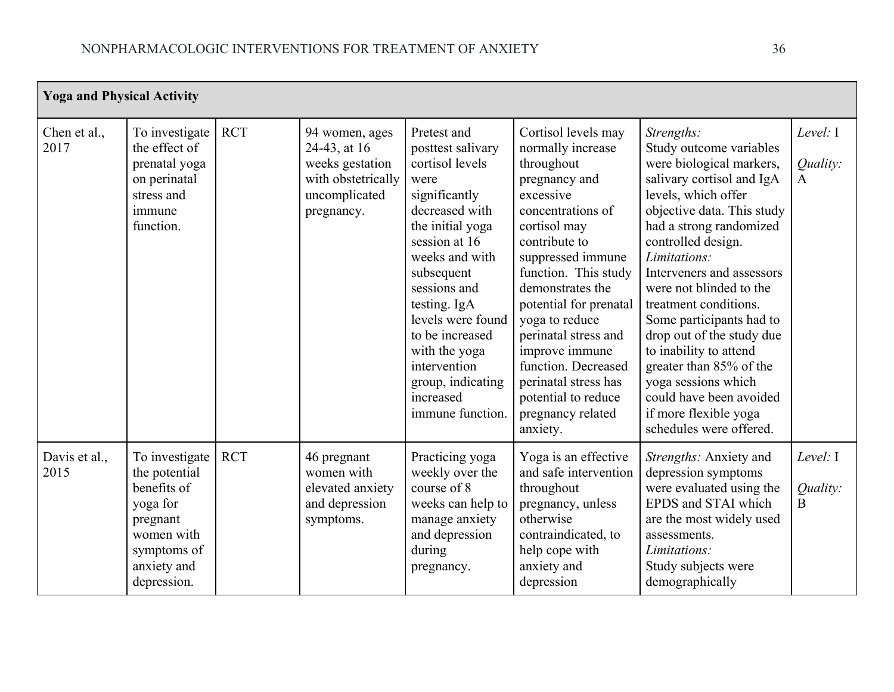| <b>Yoga and Physical Activity</b> |                                                                                                                                   |            |                                                                                                        |                                                                                                                                                                                                                                                                                                                                    |                                                                                                                                                                                                                                                                                                                                                                                                          |                                                                                                                                                                                                                                                                                                                                                                                                                                                                                                                           |                                        |  |  |  |
|-----------------------------------|-----------------------------------------------------------------------------------------------------------------------------------|------------|--------------------------------------------------------------------------------------------------------|------------------------------------------------------------------------------------------------------------------------------------------------------------------------------------------------------------------------------------------------------------------------------------------------------------------------------------|----------------------------------------------------------------------------------------------------------------------------------------------------------------------------------------------------------------------------------------------------------------------------------------------------------------------------------------------------------------------------------------------------------|---------------------------------------------------------------------------------------------------------------------------------------------------------------------------------------------------------------------------------------------------------------------------------------------------------------------------------------------------------------------------------------------------------------------------------------------------------------------------------------------------------------------------|----------------------------------------|--|--|--|
| Chen et al.,<br>2017              | To investigate<br>the effect of<br>prenatal yoga<br>on perinatal<br>stress and<br>immune<br>function.                             | <b>RCT</b> | 94 women, ages<br>24-43, at 16<br>weeks gestation<br>with obstetrically<br>uncomplicated<br>pregnancy. | Pretest and<br>posttest salivary<br>cortisol levels<br>were<br>significantly<br>decreased with<br>the initial yoga<br>session at 16<br>weeks and with<br>subsequent<br>sessions and<br>testing. IgA<br>levels were found<br>to be increased<br>with the yoga<br>intervention<br>group, indicating<br>increased<br>immune function. | Cortisol levels may<br>normally increase<br>throughout<br>pregnancy and<br>excessive<br>concentrations of<br>cortisol may<br>contribute to<br>suppressed immune<br>function. This study<br>demonstrates the<br>potential for prenatal<br>yoga to reduce<br>perinatal stress and<br>improve immune<br>function. Decreased<br>perinatal stress has<br>potential to reduce<br>pregnancy related<br>anxiety. | Strengths:<br>Study outcome variables<br>were biological markers,<br>salivary cortisol and IgA<br>levels, which offer<br>objective data. This study<br>had a strong randomized<br>controlled design.<br>Limitations:<br>Interveners and assessors<br>were not blinded to the<br>treatment conditions.<br>Some participants had to<br>drop out of the study due<br>to inability to attend<br>greater than 85% of the<br>yoga sessions which<br>could have been avoided<br>if more flexible yoga<br>schedules were offered. | Level: I<br><i>Ouality:</i><br>A       |  |  |  |
| Davis et al.,<br>2015             | To investigate<br>the potential<br>benefits of<br>yoga for<br>pregnant<br>women with<br>symptoms of<br>anxiety and<br>depression. | <b>RCT</b> | 46 pregnant<br>women with<br>elevated anxiety<br>and depression<br>symptoms.                           | Practicing yoga<br>weekly over the<br>course of 8<br>weeks can help to<br>manage anxiety<br>and depression<br>during<br>pregnancy.                                                                                                                                                                                                 | Yoga is an effective<br>and safe intervention<br>throughout<br>pregnancy, unless<br>otherwise<br>contraindicated, to<br>help cope with<br>anxiety and<br>depression                                                                                                                                                                                                                                      | Strengths: Anxiety and<br>depression symptoms<br>were evaluated using the<br>EPDS and STAI which<br>are the most widely used<br>assessments.<br>Limitations:<br>Study subjects were<br>demographically                                                                                                                                                                                                                                                                                                                    | Level: I<br>Quality:<br>$\overline{B}$ |  |  |  |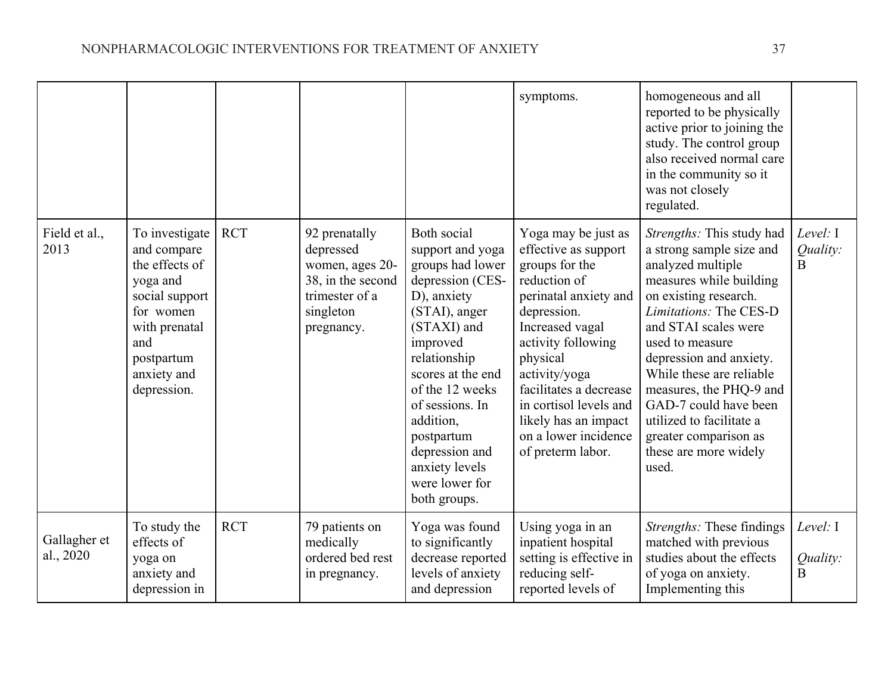|                           |                                                                                                                                                                |            |                                                                                                                 |                                                                                                                                                                                                                                                                                                                | symptoms.                                                                                                                                                                                                                                                                                                            | homogeneous and all<br>reported to be physically<br>active prior to joining the<br>study. The control group<br>also received normal care<br>in the community so it<br>was not closely<br>regulated.                                                                                                                                                                                                   |                                      |
|---------------------------|----------------------------------------------------------------------------------------------------------------------------------------------------------------|------------|-----------------------------------------------------------------------------------------------------------------|----------------------------------------------------------------------------------------------------------------------------------------------------------------------------------------------------------------------------------------------------------------------------------------------------------------|----------------------------------------------------------------------------------------------------------------------------------------------------------------------------------------------------------------------------------------------------------------------------------------------------------------------|-------------------------------------------------------------------------------------------------------------------------------------------------------------------------------------------------------------------------------------------------------------------------------------------------------------------------------------------------------------------------------------------------------|--------------------------------------|
| Field et al.,<br>2013     | To investigate<br>and compare<br>the effects of<br>yoga and<br>social support<br>for women<br>with prenatal<br>and<br>postpartum<br>anxiety and<br>depression. | <b>RCT</b> | 92 prenatally<br>depressed<br>women, ages 20-<br>38, in the second<br>trimester of a<br>singleton<br>pregnancy. | Both social<br>support and yoga<br>groups had lower<br>depression (CES-<br>D), anxiety<br>(STAI), anger<br>(STAXI) and<br>improved<br>relationship<br>scores at the end<br>of the 12 weeks<br>of sessions. In<br>addition,<br>postpartum<br>depression and<br>anxiety levels<br>were lower for<br>both groups. | Yoga may be just as<br>effective as support<br>groups for the<br>reduction of<br>perinatal anxiety and<br>depression.<br>Increased vagal<br>activity following<br>physical<br>activity/yoga<br>facilitates a decrease<br>in cortisol levels and<br>likely has an impact<br>on a lower incidence<br>of preterm labor. | Strengths: This study had<br>a strong sample size and<br>analyzed multiple<br>measures while building<br>on existing research.<br>Limitations: The CES-D<br>and STAI scales were<br>used to measure<br>depression and anxiety.<br>While these are reliable<br>measures, the PHQ-9 and<br>GAD-7 could have been<br>utilized to facilitate a<br>greater comparison as<br>these are more widely<br>used. | Level: I<br>Quality:<br>$\mathbf{B}$ |
| Gallagher et<br>al., 2020 | To study the<br>effects of<br>yoga on<br>anxiety and<br>depression in                                                                                          | <b>RCT</b> | 79 patients on<br>medically<br>ordered bed rest<br>in pregnancy.                                                | Yoga was found<br>to significantly<br>decrease reported<br>levels of anxiety<br>and depression                                                                                                                                                                                                                 | Using yoga in an<br>inpatient hospital<br>setting is effective in<br>reducing self-<br>reported levels of                                                                                                                                                                                                            | Strengths: These findings<br>matched with previous<br>studies about the effects<br>of yoga on anxiety.<br>Implementing this                                                                                                                                                                                                                                                                           | Level: I<br>Quality:<br>B            |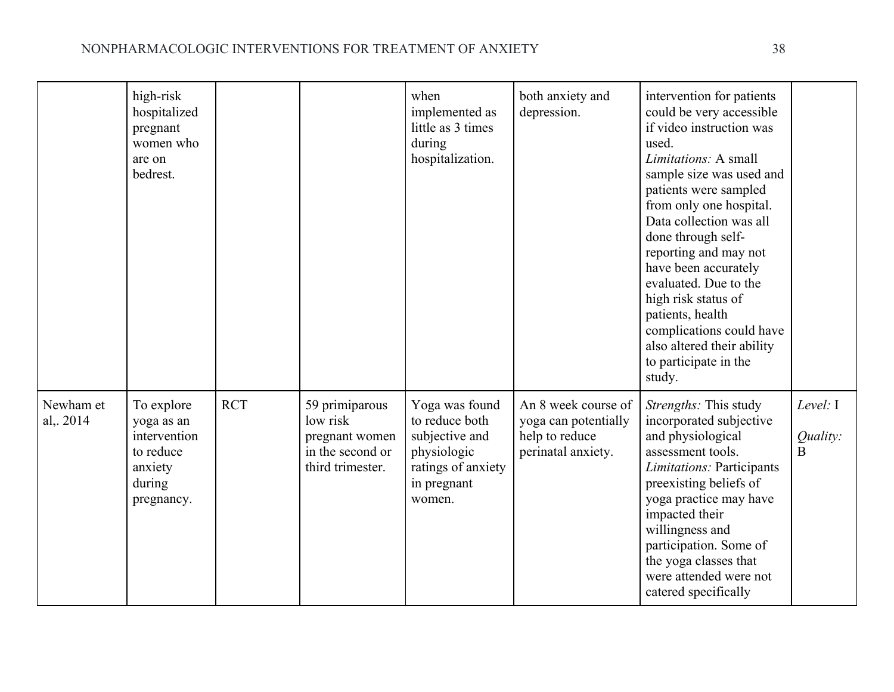## NONPHARMACOLOGIC INTERVENTIONS FOR TREATMENT OF ANXIETY 38

|                       | high-risk<br>hospitalized<br>pregnant<br>women who<br>are on<br>bedrest.                 |            |                                                                                      | when<br>implemented as<br>little as 3 times<br>during<br>hospitalization.                                        | both anxiety and<br>depression.                                                     | intervention for patients<br>could be very accessible<br>if video instruction was<br>used.<br>Limitations: A small<br>sample size was used and<br>patients were sampled<br>from only one hospital.<br>Data collection was all<br>done through self-<br>reporting and may not<br>have been accurately<br>evaluated. Due to the<br>high risk status of<br>patients, health<br>complications could have<br>also altered their ability<br>to participate in the<br>study. |                                          |
|-----------------------|------------------------------------------------------------------------------------------|------------|--------------------------------------------------------------------------------------|------------------------------------------------------------------------------------------------------------------|-------------------------------------------------------------------------------------|-----------------------------------------------------------------------------------------------------------------------------------------------------------------------------------------------------------------------------------------------------------------------------------------------------------------------------------------------------------------------------------------------------------------------------------------------------------------------|------------------------------------------|
| Newham et<br>al, 2014 | To explore<br>yoga as an<br>intervention<br>to reduce<br>anxiety<br>during<br>pregnancy. | <b>RCT</b> | 59 primiparous<br>low risk<br>pregnant women<br>in the second or<br>third trimester. | Yoga was found<br>to reduce both<br>subjective and<br>physiologic<br>ratings of anxiety<br>in pregnant<br>women. | An 8 week course of<br>yoga can potentially<br>help to reduce<br>perinatal anxiety. | Strengths: This study<br>incorporated subjective<br>and physiological<br>assessment tools.<br>Limitations: Participants<br>preexisting beliefs of<br>yoga practice may have<br>impacted their<br>willingness and<br>participation. Some of<br>the yoga classes that<br>were attended were not<br>catered specifically                                                                                                                                                 | Level: $I$<br>Quality:<br>$\overline{B}$ |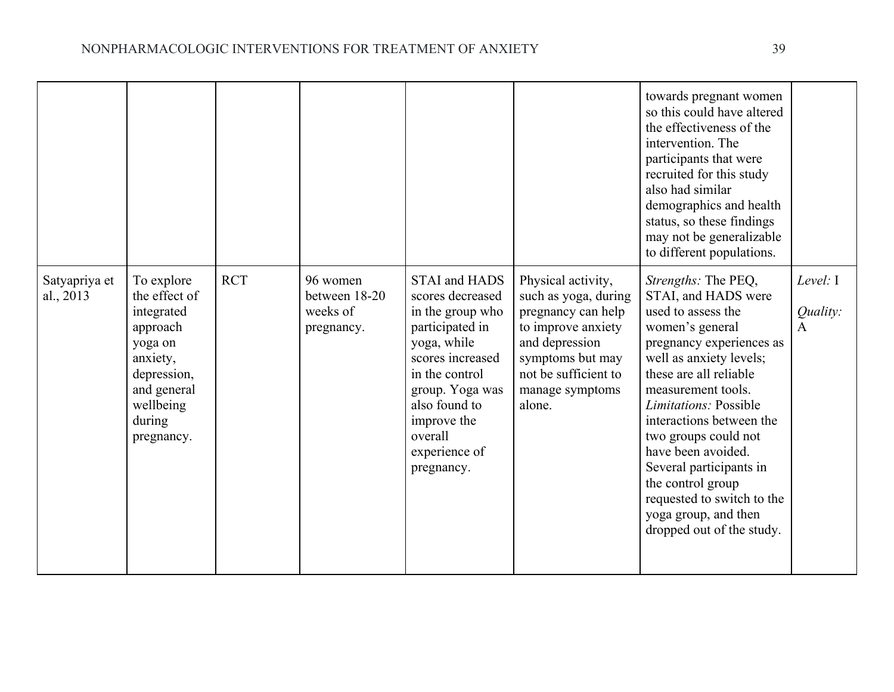|                            |                                                                                                                                                 |            |                                                     |                                                                                                                                                                                                                                   |                                                                                                                                                                                   | towards pregnant women<br>so this could have altered<br>the effectiveness of the<br>intervention. The<br>participants that were<br>recruited for this study<br>also had similar<br>demographics and health<br>status, so these findings<br>may not be generalizable<br>to different populations.                                                                                                                                        |                             |
|----------------------------|-------------------------------------------------------------------------------------------------------------------------------------------------|------------|-----------------------------------------------------|-----------------------------------------------------------------------------------------------------------------------------------------------------------------------------------------------------------------------------------|-----------------------------------------------------------------------------------------------------------------------------------------------------------------------------------|-----------------------------------------------------------------------------------------------------------------------------------------------------------------------------------------------------------------------------------------------------------------------------------------------------------------------------------------------------------------------------------------------------------------------------------------|-----------------------------|
| Satyapriya et<br>al., 2013 | To explore<br>the effect of<br>integrated<br>approach<br>yoga on<br>anxiety,<br>depression,<br>and general<br>wellbeing<br>during<br>pregnancy. | <b>RCT</b> | 96 women<br>between 18-20<br>weeks of<br>pregnancy. | <b>STAI</b> and HADS<br>scores decreased<br>in the group who<br>participated in<br>yoga, while<br>scores increased<br>in the control<br>group. Yoga was<br>also found to<br>improve the<br>overall<br>experience of<br>pregnancy. | Physical activity,<br>such as yoga, during<br>pregnancy can help<br>to improve anxiety<br>and depression<br>symptoms but may<br>not be sufficient to<br>manage symptoms<br>alone. | Strengths: The PEQ,<br>STAI, and HADS were<br>used to assess the<br>women's general<br>pregnancy experiences as<br>well as anxiety levels;<br>these are all reliable<br>measurement tools.<br><i>Limitations:</i> Possible<br>interactions between the<br>two groups could not<br>have been avoided.<br>Several participants in<br>the control group<br>requested to switch to the<br>yoga group, and then<br>dropped out of the study. | Level: $I$<br>Quality:<br>A |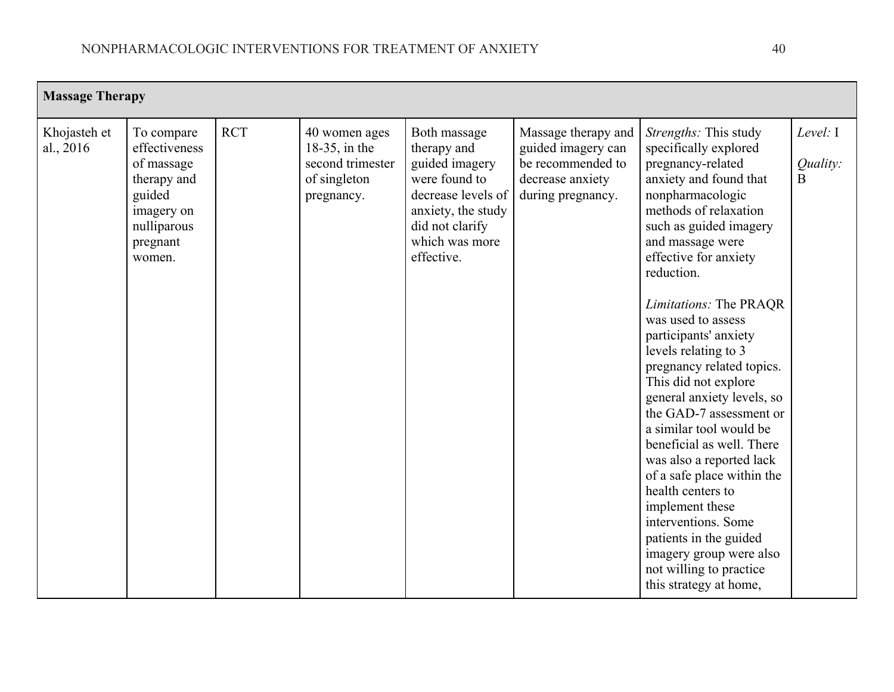| <b>Massage Therapy</b>    |                                                                                                                       |            |                                                                                     |                                                                                                                                                               |                                                                                                         |                                                                                                                                                                                                                                                                                                                                                                                                                                                                                                                                                                                                                                                                                                                                           |                           |
|---------------------------|-----------------------------------------------------------------------------------------------------------------------|------------|-------------------------------------------------------------------------------------|---------------------------------------------------------------------------------------------------------------------------------------------------------------|---------------------------------------------------------------------------------------------------------|-------------------------------------------------------------------------------------------------------------------------------------------------------------------------------------------------------------------------------------------------------------------------------------------------------------------------------------------------------------------------------------------------------------------------------------------------------------------------------------------------------------------------------------------------------------------------------------------------------------------------------------------------------------------------------------------------------------------------------------------|---------------------------|
| Khojasteh et<br>al., 2016 | To compare<br>effectiveness<br>of massage<br>therapy and<br>guided<br>imagery on<br>nulliparous<br>pregnant<br>women. | <b>RCT</b> | 40 women ages<br>$18-35$ , in the<br>second trimester<br>of singleton<br>pregnancy. | Both massage<br>therapy and<br>guided imagery<br>were found to<br>decrease levels of<br>anxiety, the study<br>did not clarify<br>which was more<br>effective. | Massage therapy and<br>guided imagery can<br>be recommended to<br>decrease anxiety<br>during pregnancy. | Strengths: This study<br>specifically explored<br>pregnancy-related<br>anxiety and found that<br>nonpharmacologic<br>methods of relaxation<br>such as guided imagery<br>and massage were<br>effective for anxiety<br>reduction.<br>Limitations: The PRAQR<br>was used to assess<br>participants' anxiety<br>levels relating to 3<br>pregnancy related topics.<br>This did not explore<br>general anxiety levels, so<br>the GAD-7 assessment or<br>a similar tool would be<br>beneficial as well. There<br>was also a reported lack<br>of a safe place within the<br>health centers to<br>implement these<br>interventions. Some<br>patients in the guided<br>imagery group were also<br>not willing to practice<br>this strategy at home, | Level: I<br>Quality:<br>B |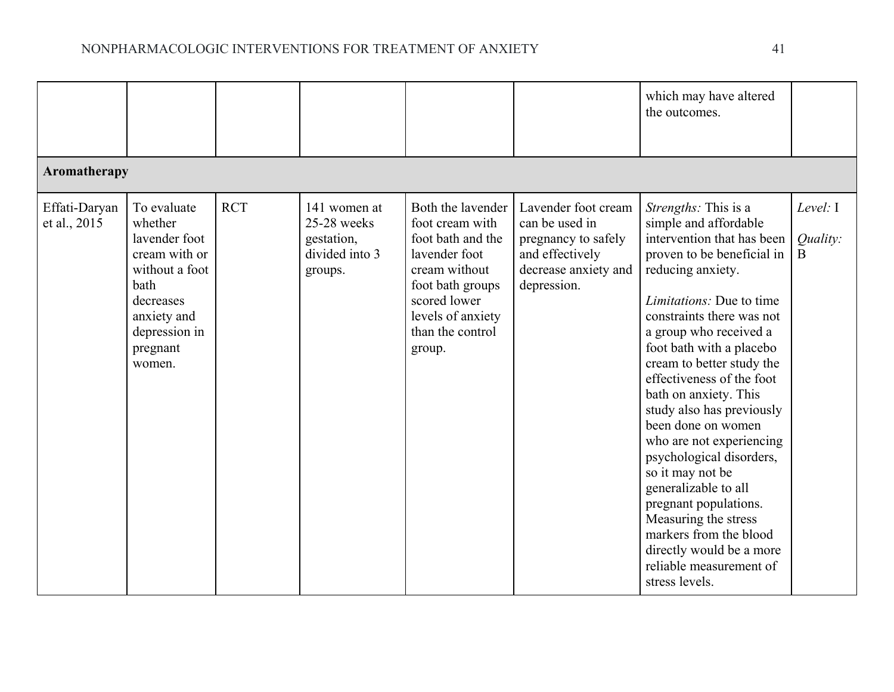|                               |                                                                                                                                                       |            |                                                                        |                                                                                                                                                                                    |                                                                                                                        | which may have altered<br>the outcomes.                                                                                                                                                                                                                                                                                                                                                                                                                                                                                                                                                                                                            |                           |  |  |  |
|-------------------------------|-------------------------------------------------------------------------------------------------------------------------------------------------------|------------|------------------------------------------------------------------------|------------------------------------------------------------------------------------------------------------------------------------------------------------------------------------|------------------------------------------------------------------------------------------------------------------------|----------------------------------------------------------------------------------------------------------------------------------------------------------------------------------------------------------------------------------------------------------------------------------------------------------------------------------------------------------------------------------------------------------------------------------------------------------------------------------------------------------------------------------------------------------------------------------------------------------------------------------------------------|---------------------------|--|--|--|
|                               | Aromatherapy                                                                                                                                          |            |                                                                        |                                                                                                                                                                                    |                                                                                                                        |                                                                                                                                                                                                                                                                                                                                                                                                                                                                                                                                                                                                                                                    |                           |  |  |  |
| Effati-Daryan<br>et al., 2015 | To evaluate<br>whether<br>lavender foot<br>cream with or<br>without a foot<br>bath<br>decreases<br>anxiety and<br>depression in<br>pregnant<br>women. | <b>RCT</b> | 141 women at<br>25-28 weeks<br>gestation,<br>divided into 3<br>groups. | Both the lavender<br>foot cream with<br>foot bath and the<br>lavender foot<br>cream without<br>foot bath groups<br>scored lower<br>levels of anxiety<br>than the control<br>group. | Lavender foot cream<br>can be used in<br>pregnancy to safely<br>and effectively<br>decrease anxiety and<br>depression. | Strengths: This is a<br>simple and affordable<br>intervention that has been<br>proven to be beneficial in<br>reducing anxiety.<br><i>Limitations:</i> Due to time<br>constraints there was not<br>a group who received a<br>foot bath with a placebo<br>cream to better study the<br>effectiveness of the foot<br>bath on anxiety. This<br>study also has previously<br>been done on women<br>who are not experiencing<br>psychological disorders,<br>so it may not be<br>generalizable to all<br>pregnant populations.<br>Measuring the stress<br>markers from the blood<br>directly would be a more<br>reliable measurement of<br>stress levels. | Level: I<br>Quality:<br>B |  |  |  |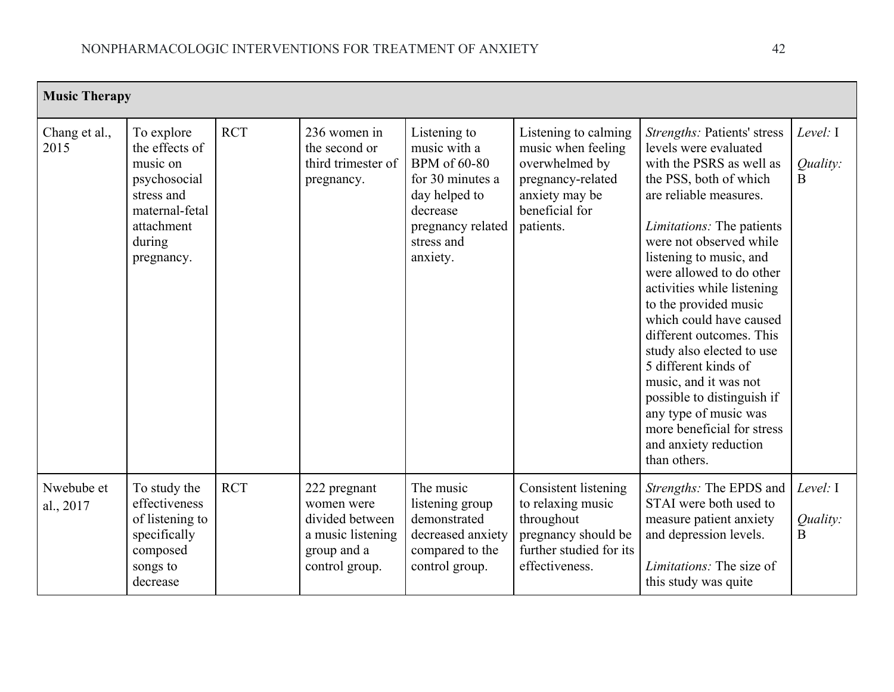| <b>Music Therapy</b>    |                                                                                                                                |            |                                                                                                     |                                                                                                                                                     |                                                                                                                                    |                                                                                                                                                                                                                                                                                                                                                                                                                                                                                                                                                                                      |                                  |
|-------------------------|--------------------------------------------------------------------------------------------------------------------------------|------------|-----------------------------------------------------------------------------------------------------|-----------------------------------------------------------------------------------------------------------------------------------------------------|------------------------------------------------------------------------------------------------------------------------------------|--------------------------------------------------------------------------------------------------------------------------------------------------------------------------------------------------------------------------------------------------------------------------------------------------------------------------------------------------------------------------------------------------------------------------------------------------------------------------------------------------------------------------------------------------------------------------------------|----------------------------------|
| Chang et al.,<br>2015   | To explore<br>the effects of<br>music on<br>psychosocial<br>stress and<br>maternal-fetal<br>attachment<br>during<br>pregnancy. | <b>RCT</b> | 236 women in<br>the second or<br>third trimester of<br>pregnancy.                                   | Listening to<br>music with a<br><b>BPM</b> of 60-80<br>for 30 minutes a<br>day helped to<br>decrease<br>pregnancy related<br>stress and<br>anxiety. | Listening to calming<br>music when feeling<br>overwhelmed by<br>pregnancy-related<br>anxiety may be<br>beneficial for<br>patients. | Strengths: Patients' stress<br>levels were evaluated<br>with the PSRS as well as<br>the PSS, both of which<br>are reliable measures.<br><i>Limitations:</i> The patients<br>were not observed while<br>listening to music, and<br>were allowed to do other<br>activities while listening<br>to the provided music<br>which could have caused<br>different outcomes. This<br>study also elected to use<br>5 different kinds of<br>music, and it was not<br>possible to distinguish if<br>any type of music was<br>more beneficial for stress<br>and anxiety reduction<br>than others. | Level: I<br>Quality:<br>$\bf{B}$ |
| Nwebube et<br>al., 2017 | To study the<br>effectiveness<br>of listening to<br>specifically<br>composed<br>songs to<br>decrease                           | <b>RCT</b> | 222 pregnant<br>women were<br>divided between<br>a music listening<br>group and a<br>control group. | The music<br>listening group<br>demonstrated<br>decreased anxiety<br>compared to the<br>control group.                                              | Consistent listening<br>to relaxing music<br>throughout<br>pregnancy should be<br>further studied for its<br>effectiveness.        | Strengths: The EPDS and<br>STAI were both used to<br>measure patient anxiety<br>and depression levels.<br>Limitations: The size of<br>this study was quite                                                                                                                                                                                                                                                                                                                                                                                                                           | Level: I<br>Quality:<br>B        |